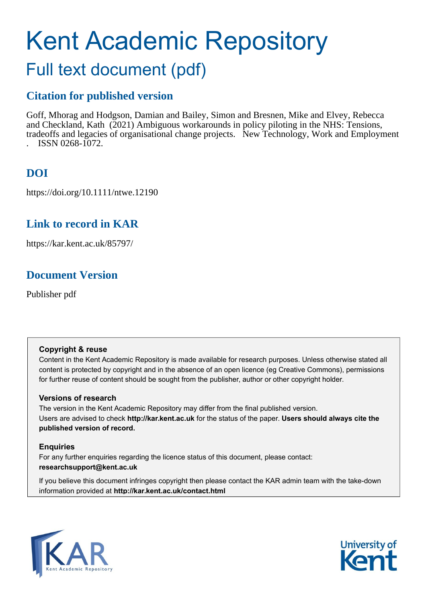# Kent Academic Repository Full text document (pdf)

# **Citation for published version**

Goff, Mhorag and Hodgson, Damian and Bailey, Simon and Bresnen, Mike and Elvey, Rebecca and Checkland, Kath (2021) Ambiguous workarounds in policy piloting in the NHS: Tensions, trade offs and legacies of organisational change projects. New Technology, Work and Employment . ISSN 0268-1072.

# **DOI**

https://doi.org/10.1111/ntwe.12190

# **Link to record in KAR**

https://kar.kent.ac.uk/85797/

# **Document Version**

Publisher pdf

# **Copyright & reuse**

Content in the Kent Academic Repository is made available for research purposes. Unless otherwise stated all content is protected by copyright and in the absence of an open licence (eg Creative Commons), permissions for further reuse of content should be sought from the publisher, author or other copyright holder.

# **Versions of research**

The version in the Kent Academic Repository may differ from the final published version. Users are advised to check **http://kar.kent.ac.uk** for the status of the paper. **Users should always cite the published version of record.**

# **Enquiries**

For any further enquiries regarding the licence status of this document, please contact: **researchsupport@kent.ac.uk**

If you believe this document infringes copyright then please contact the KAR admin team with the take-down information provided at **http://kar.kent.ac.uk/contact.html**



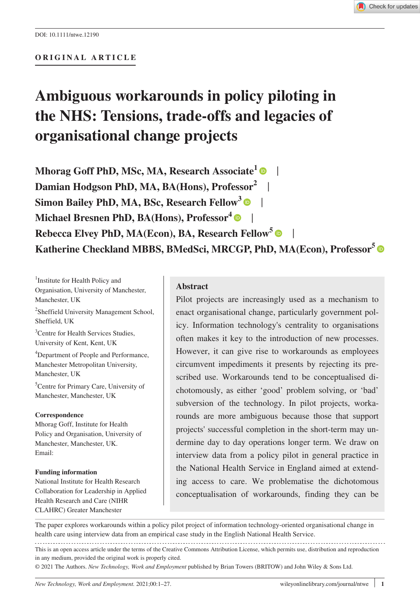#### **ORIGINAL ARTICLE**

# **Ambiguous workarounds in policy piloting in the NHS: Tensions, trade-offs and legacies of organisational change projects**

**Mhorag Goff PhD, MSc, MA, Research Associate<sup>[1](https://orcid.org/0000-0003-4936-2881)</sup> • | Damian Hodgson PhD, MA, BA(Hons), Professor<sup>2</sup>** | **Simon Bailey PhD, MA, BSc, Research Fellow<sup>3</sup> • | Michael Bresnen PhD, BA(Hons), Professor<sup>4</sup><sup> |</sup> Rebecca Elvey PhD, MA(Econ), BA, Research Fellow[5](https://orcid.org/0000-0003-3754-4979)** | **Katherine Checkland MBBS, BMedSci, MRCGP, PhD, MA(Econ), Professor[5](https://orcid.org/0000-0002-9961-5317)**

<sup>1</sup>Institute for Health Policy and Organisation, University of Manchester, Manchester, UK

2 Sheffield University Management School, Sheffield, UK

<sup>3</sup> Centre for Health Services Studies, University of Kent, Kent, UK

4 Department of People and Performance, Manchester Metropolitan University, Manchester, UK

5 Centre for Primary Care, University of Manchester, Manchester, UK

#### **Correspondence**

Mhorag Goff, Institute for Health Policy and Organisation, University of Manchester, Manchester, UK. Email:

#### **Funding information**

National Institute for Health Research Collaboration for Leadership in Applied Health Research and Care (NIHR CLAHRC) Greater Manchester

#### **Abstract**

Pilot projects are increasingly used as a mechanism to enact organisational change, particularly government policy. Information technology's centrality to organisations often makes it key to the introduction of new processes. However, it can give rise to workarounds as employees circumvent impediments it presents by rejecting its prescribed use. Workarounds tend to be conceptualised dichotomously, as either 'good' problem solving, or 'bad' subversion of the technology. In pilot projects, workarounds are more ambiguous because those that support projects' successful completion in the short-term may undermine day to day operations longer term. We draw on interview data from a policy pilot in general practice in the National Health Service in England aimed at extending access to care. We problematise the dichotomous conceptualisation of workarounds, finding they can be

The paper explores workarounds within a policy pilot project of information technology-oriented organisational change in health care using interview data from an empirical case study in the English National Health Service.

This is an open access article under the terms of the [Creative Commons Attribution](http://creativecommons.org/licenses/by/4.0/) License, which permits use, distribution and reproduction in any medium, provided the original work is properly cited.

© 2021 The Authors. *New Technology, Work and Employment* published by Brian Towers (BRITOW) and John Wiley & Sons Ltd.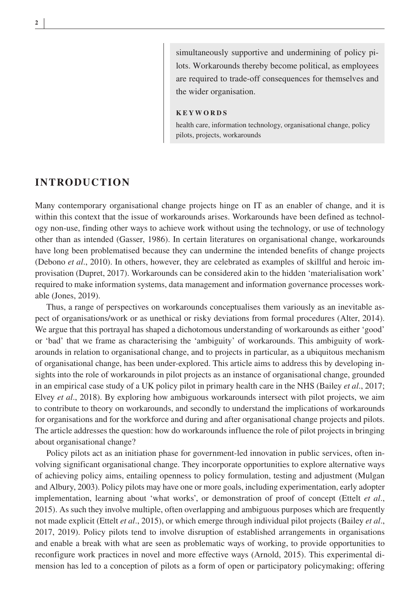simultaneously supportive and undermining of policy pilots. Workarounds thereby become political, as employees are required to trade-off consequences for themselves and the wider organisation.

#### **KEYWORDS**

health care, information technology, organisational change, policy pilots, projects, workarounds

#### **INTRODUCTION**

Many contemporary organisational change projects hinge on IT as an enabler of change, and it is within this context that the issue of workarounds arises. Workarounds have been defined as technology non-use, finding other ways to achieve work without using the technology, or use of technology other than as intended (Gasser, 1986). In certain literatures on organisational change, workarounds have long been problematised because they can undermine the intended benefits of change projects (Debono *et al*., 2010). In others, however, they are celebrated as examples of skillful and heroic improvisation (Dupret, 2017). Workarounds can be considered akin to the hidden 'materialisation work' required to make information systems, data management and information governance processes workable (Jones, 2019).

Thus, a range of perspectives on workarounds conceptualises them variously as an inevitable aspect of organisations/work or as unethical or risky deviations from formal procedures (Alter, 2014). We argue that this portrayal has shaped a dichotomous understanding of workarounds as either 'good' or 'bad' that we frame as characterising the 'ambiguity' of workarounds. This ambiguity of workarounds in relation to organisational change, and to projects in particular, as a ubiquitous mechanism of organisational change, has been under-explored. This article aims to address this by developing insights into the role of workarounds in pilot projects as an instance of organisational change, grounded in an empirical case study of a UK policy pilot in primary health care in the NHS (Bailey *et al*., 2017; Elvey *et al*., 2018). By exploring how ambiguous workarounds intersect with pilot projects, we aim to contribute to theory on workarounds, and secondly to understand the implications of workarounds for organisations and for the workforce and during and after organisational change projects and pilots. The article addresses the question: how do workarounds influence the role of pilot projects in bringing about organisational change?

Policy pilots act as an initiation phase for government-led innovation in public services, often involving significant organisational change. They incorporate opportunities to explore alternative ways of achieving policy aims, entailing openness to policy formulation, testing and adjustment (Mulgan and Albury, 2003). Policy pilots may have one or more goals, including experimentation, early adopter implementation, learning about 'what works', or demonstration of proof of concept (Ettelt *et al*., 2015). As such they involve multiple, often overlapping and ambiguous purposes which are frequently not made explicit (Ettelt *et al*., 2015), or which emerge through individual pilot projects (Bailey *et al*., 2017, 2019). Policy pilots tend to involve disruption of established arrangements in organisations and enable a break with what are seen as problematic ways of working, to provide opportunities to reconfigure work practices in novel and more effective ways (Arnold, 2015). This experimental dimension has led to a conception of pilots as a form of open or participatory policymaking; offering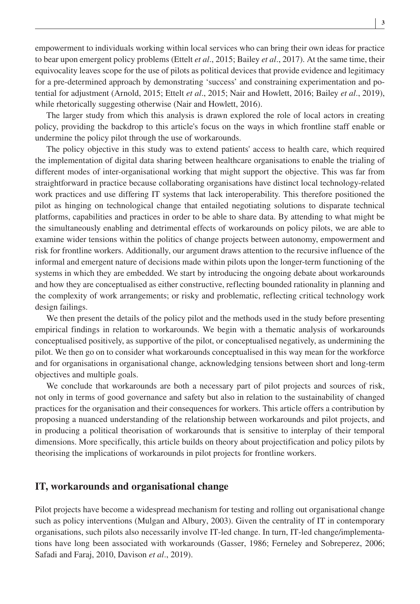empowerment to individuals working within local services who can bring their own ideas for practice to bear upon emergent policy problems (Ettelt *et al*., 2015; Bailey *et al*., 2017). At the same time, their equivocality leaves scope for the use of pilots as political devices that provide evidence and legitimacy for a pre-determined approach by demonstrating 'success' and constraining experimentation and potential for adjustment (Arnold, 2015; Ettelt *et al*., 2015; Nair and Howlett, 2016; Bailey *et al*., 2019), while rhetorically suggesting otherwise (Nair and Howlett, 2016).

The larger study from which this analysis is drawn explored the role of local actors in creating policy, providing the backdrop to this article's focus on the ways in which frontline staff enable or undermine the policy pilot through the use of workarounds.

The policy objective in this study was to extend patients' access to health care, which required the implementation of digital data sharing between healthcare organisations to enable the trialing of different modes of inter-organisational working that might support the objective. This was far from straightforward in practice because collaborating organisations have distinct local technology-related work practices and use differing IT systems that lack interoperability. This therefore positioned the pilot as hinging on technological change that entailed negotiating solutions to disparate technical platforms, capabilities and practices in order to be able to share data. By attending to what might be the simultaneously enabling and detrimental effects of workarounds on policy pilots, we are able to examine wider tensions within the politics of change projects between autonomy, empowerment and risk for frontline workers. Additionally, our argument draws attention to the recursive influence of the informal and emergent nature of decisions made within pilots upon the longer-term functioning of the systems in which they are embedded. We start by introducing the ongoing debate about workarounds and how they are conceptualised as either constructive, reflecting bounded rationality in planning and the complexity of work arrangements; or risky and problematic, reflecting critical technology work design failings.

We then present the details of the policy pilot and the methods used in the study before presenting empirical findings in relation to workarounds. We begin with a thematic analysis of workarounds conceptualised positively, as supportive of the pilot, or conceptualised negatively, as undermining the pilot. We then go on to consider what workarounds conceptualised in this way mean for the workforce and for organisations in organisational change, acknowledging tensions between short and long-term objectives and multiple goals.

We conclude that workarounds are both a necessary part of pilot projects and sources of risk, not only in terms of good governance and safety but also in relation to the sustainability of changed practices for the organisation and their consequences for workers. This article offers a contribution by proposing a nuanced understanding of the relationship between workarounds and pilot projects, and in producing a political theorisation of workarounds that is sensitive to interplay of their temporal dimensions. More specifically, this article builds on theory about projectification and policy pilots by theorising the implications of workarounds in pilot projects for frontline workers.

#### **IT, workarounds and organisational change**

Pilot projects have become a widespread mechanism for testing and rolling out organisational change such as policy interventions (Mulgan and Albury, 2003). Given the centrality of IT in contemporary organisations, such pilots also necessarily involve IT-led change. In turn, IT-led change/implementations have long been associated with workarounds (Gasser, 1986; Ferneley and Sobreperez, 2006; Safadi and Faraj, 2010, Davison *et al*., 2019).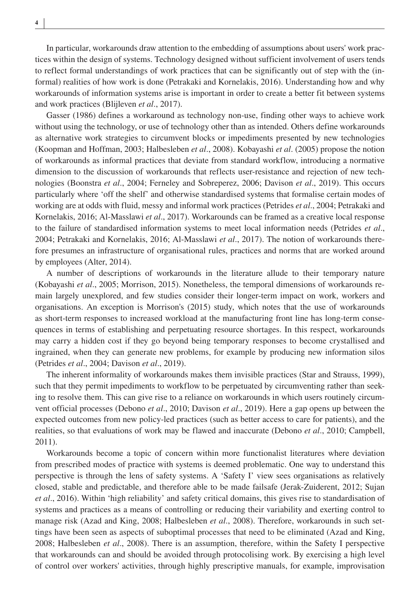In particular, workarounds draw attention to the embedding of assumptions about users' work practices within the design of systems. Technology designed without sufficient involvement of users tends to reflect formal understandings of work practices that can be significantly out of step with the (informal) realities of how work is done (Petrakaki and Kornelakis, 2016). Understanding how and why workarounds of information systems arise is important in order to create a better fit between systems and work practices (Blijleven *et al*., 2017).

Gasser (1986) defines a workaround as technology non-use, finding other ways to achieve work without using the technology, or use of technology other than as intended. Others define workarounds as alternative work strategies to circumvent blocks or impediments presented by new technologies (Koopman and Hoffman, 2003; Halbesleben *et al*., 2008). Kobayashi *et al*. (2005) propose the notion of workarounds as informal practices that deviate from standard workflow, introducing a normative dimension to the discussion of workarounds that reflects user-resistance and rejection of new technologies (Boonstra *et al*., 2004; Ferneley and Sobreperez, 2006; Davison *et al*., 2019). This occurs particularly where 'off the shelf' and otherwise standardised systems that formalise certain modes of working are at odds with fluid, messy and informal work practices (Petrides *et al*., 2004; Petrakaki and Kornelakis, 2016; Al-Masslawi *et al*., 2017). Workarounds can be framed as a creative local response to the failure of standardised information systems to meet local information needs (Petrides *et al*., 2004; Petrakaki and Kornelakis, 2016; Al-Masslawi *et al*., 2017). The notion of workarounds therefore presumes an infrastructure of organisational rules, practices and norms that are worked around by employees (Alter, 2014).

A number of descriptions of workarounds in the literature allude to their temporary nature (Kobayashi *et al*., 2005; Morrison, 2015). Nonetheless, the temporal dimensions of workarounds remain largely unexplored, and few studies consider their longer-term impact on work, workers and organisations. An exception is Morrison's (2015) study, which notes that the use of workarounds as short-term responses to increased workload at the manufacturing front line has long-term consequences in terms of establishing and perpetuating resource shortages. In this respect, workarounds may carry a hidden cost if they go beyond being temporary responses to become crystallised and ingrained, when they can generate new problems, for example by producing new information silos (Petrides *et al*., 2004; Davison *et al*., 2019).

The inherent informality of workarounds makes them invisible practices (Star and Strauss, 1999), such that they permit impediments to workflow to be perpetuated by circumventing rather than seeking to resolve them. This can give rise to a reliance on workarounds in which users routinely circumvent official processes (Debono *et al*., 2010; Davison *et al*., 2019). Here a gap opens up between the expected outcomes from new policy-led practices (such as better access to care for patients), and the realities, so that evaluations of work may be flawed and inaccurate (Debono *et al*., 2010; Campbell, 2011).

Workarounds become a topic of concern within more functionalist literatures where deviation from prescribed modes of practice with systems is deemed problematic. One way to understand this perspective is through the lens of safety systems. A 'Safety I' view sees organisations as relatively closed, stable and predictable, and therefore able to be made failsafe (Jerak-Zuiderent, 2012; Sujan *et al*., 2016). Within 'high reliability' and safety critical domains, this gives rise to standardisation of systems and practices as a means of controlling or reducing their variability and exerting control to manage risk (Azad and King, 2008; Halbesleben *et al*., 2008). Therefore, workarounds in such settings have been seen as aspects of suboptimal processes that need to be eliminated (Azad and King, 2008; Halbesleben *et al*., 2008). There is an assumption, therefore, within the Safety I perspective that workarounds can and should be avoided through protocolising work. By exercising a high level of control over workers' activities, through highly prescriptive manuals, for example, improvisation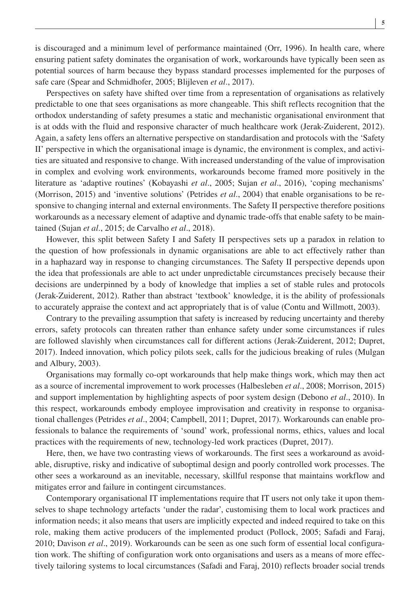is discouraged and a minimum level of performance maintained (Orr, 1996). In health care, where ensuring patient safety dominates the organisation of work, workarounds have typically been seen as potential sources of harm because they bypass standard processes implemented for the purposes of safe care (Spear and Schmidhofer, 2005; Blijleven *et al*., 2017).

Perspectives on safety have shifted over time from a representation of organisations as relatively predictable to one that sees organisations as more changeable. This shift reflects recognition that the orthodox understanding of safety presumes a static and mechanistic organisational environment that is at odds with the fluid and responsive character of much healthcare work (Jerak-Zuiderent, 2012). Again, a safety lens offers an alternative perspective on standardisation and protocols with the 'Safety II' perspective in which the organisational image is dynamic, the environment is complex, and activities are situated and responsive to change. With increased understanding of the value of improvisation in complex and evolving work environments, workarounds become framed more positively in the literature as 'adaptive routines' (Kobayashi *et al*., 2005; Sujan *et al*., 2016), 'coping mechanisms' (Morrison, 2015) and 'inventive solutions' (Petrides *et al.*, 2004) that enable organisations to be responsive to changing internal and external environments. The Safety II perspective therefore positions workarounds as a necessary element of adaptive and dynamic trade-offs that enable safety to be maintained (Sujan *et al*., 2015; de Carvalho *et al*., 2018).

However, this split between Safety I and Safety II perspectives sets up a paradox in relation to the question of how professionals in dynamic organisations are able to act effectively rather than in a haphazard way in response to changing circumstances. The Safety II perspective depends upon the idea that professionals are able to act under unpredictable circumstances precisely because their decisions are underpinned by a body of knowledge that implies a set of stable rules and protocols (Jerak-Zuiderent, 2012). Rather than abstract 'textbook' knowledge, it is the ability of professionals to accurately appraise the context and act appropriately that is of value (Contu and Willmott, 2003).

Contrary to the prevailing assumption that safety is increased by reducing uncertainty and thereby errors, safety protocols can threaten rather than enhance safety under some circumstances if rules are followed slavishly when circumstances call for different actions (Jerak-Zuiderent, 2012; Dupret, 2017). Indeed innovation, which policy pilots seek, calls for the judicious breaking of rules (Mulgan and Albury, 2003).

Organisations may formally co-opt workarounds that help make things work, which may then act as a source of incremental improvement to work processes (Halbesleben *et al*., 2008; Morrison, 2015) and support implementation by highlighting aspects of poor system design (Debono *et al*., 2010). In this respect, workarounds embody employee improvisation and creativity in response to organisational challenges (Petrides *et al*., 2004; Campbell, 2011; Dupret, 2017). Workarounds can enable professionals to balance the requirements of 'sound' work, professional norms, ethics, values and local practices with the requirements of new, technology-led work practices (Dupret, 2017).

Here, then, we have two contrasting views of workarounds. The first sees a workaround as avoidable, disruptive, risky and indicative of suboptimal design and poorly controlled work processes. The other sees a workaround as an inevitable, necessary, skillful response that maintains workflow and mitigates error and failure in contingent circumstances.

Contemporary organisational IT implementations require that IT users not only take it upon themselves to shape technology artefacts 'under the radar', customising them to local work practices and information needs; it also means that users are implicitly expected and indeed required to take on this role, making them active producers of the implemented product (Pollock, 2005; Safadi and Faraj, 2010; Davison *et al*., 2019). Workarounds can be seen as one such form of essential local configuration work. The shifting of configuration work onto organisations and users as a means of more effectively tailoring systems to local circumstances (Safadi and Faraj, 2010) reflects broader social trends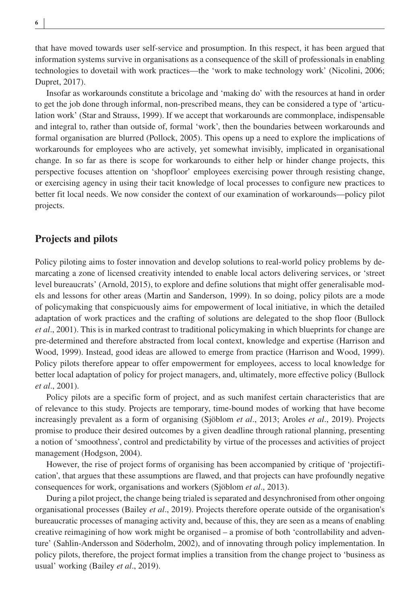that have moved towards user self-service and prosumption. In this respect, it has been argued that information systems survive in organisations as a consequence of the skill of professionals in enabling technologies to dovetail with work practices—the 'work to make technology work' (Nicolini, 2006; Dupret, 2017).

Insofar as workarounds constitute a bricolage and 'making do' with the resources at hand in order to get the job done through informal, non-prescribed means, they can be considered a type of 'articulation work' (Star and Strauss, 1999). If we accept that workarounds are commonplace, indispensable and integral to, rather than outside of, formal 'work', then the boundaries between workarounds and formal organisation are blurred (Pollock, 2005). This opens up a need to explore the implications of workarounds for employees who are actively, yet somewhat invisibly, implicated in organisational change. In so far as there is scope for workarounds to either help or hinder change projects, this perspective focuses attention on 'shopfloor' employees exercising power through resisting change, or exercising agency in using their tacit knowledge of local processes to configure new practices to better fit local needs. We now consider the context of our examination of workarounds—policy pilot projects.

#### **Projects and pilots**

Policy piloting aims to foster innovation and develop solutions to real-world policy problems by demarcating a zone of licensed creativity intended to enable local actors delivering services, or 'street level bureaucrats' (Arnold, 2015), to explore and define solutions that might offer generalisable models and lessons for other areas (Martin and Sanderson, 1999). In so doing, policy pilots are a mode of policymaking that conspicuously aims for empowerment of local initiative, in which the detailed adaptation of work practices and the crafting of solutions are delegated to the shop floor (Bullock *et al*., 2001). This is in marked contrast to traditional policymaking in which blueprints for change are pre-determined and therefore abstracted from local context, knowledge and expertise (Harrison and Wood, 1999). Instead, good ideas are allowed to emerge from practice (Harrison and Wood, 1999). Policy pilots therefore appear to offer empowerment for employees, access to local knowledge for better local adaptation of policy for project managers, and, ultimately, more effective policy (Bullock *et al*., 2001).

Policy pilots are a specific form of project, and as such manifest certain characteristics that are of relevance to this study. Projects are temporary, time-bound modes of working that have become increasingly prevalent as a form of organising (Sjöblom *et al*., 2013; Aroles *et al*., 2019). Projects promise to produce their desired outcomes by a given deadline through rational planning, presenting a notion of 'smoothness', control and predictability by virtue of the processes and activities of project management (Hodgson, 2004).

However, the rise of project forms of organising has been accompanied by critique of 'projectification', that argues that these assumptions are flawed, and that projects can have profoundly negative consequences for work, organisations and workers (Sjöblom *et al*., 2013).

During a pilot project, the change being trialed is separated and desynchronised from other ongoing organisational processes (Bailey *et al*., 2019). Projects therefore operate outside of the organisation's bureaucratic processes of managing activity and, because of this, they are seen as a means of enabling creative reimagining of how work might be organised – a promise of both 'controllability and adventure' (Sahlin-Andersson and Söderholm, 2002), and of innovating through policy implementation. In policy pilots, therefore, the project format implies a transition from the change project to 'business as usual' working (Bailey *et al*., 2019).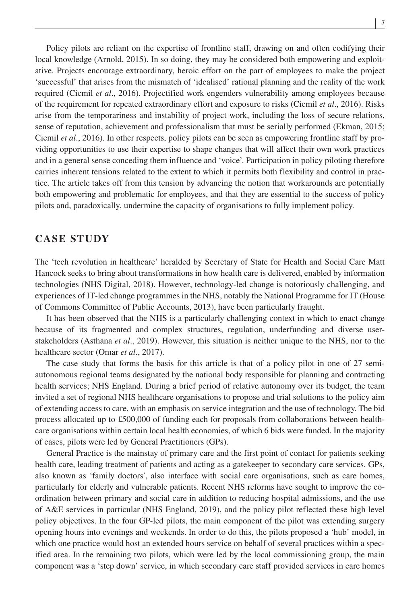Policy pilots are reliant on the expertise of frontline staff, drawing on and often codifying their local knowledge (Arnold, 2015). In so doing, they may be considered both empowering and exploitative. Projects encourage extraordinary, heroic effort on the part of employees to make the project 'successful' that arises from the mismatch of 'idealised' rational planning and the reality of the work required (Cicmil *et al*., 2016). Projectified work engenders vulnerability among employees because of the requirement for repeated extraordinary effort and exposure to risks (Cicmil *et al*., 2016). Risks arise from the temporariness and instability of project work, including the loss of secure relations, sense of reputation, achievement and professionalism that must be serially performed (Ekman, 2015; Cicmil *et al*., 2016). In other respects, policy pilots can be seen as empowering frontline staff by providing opportunities to use their expertise to shape changes that will affect their own work practices and in a general sense conceding them influence and 'voice'. Participation in policy piloting therefore carries inherent tensions related to the extent to which it permits both flexibility and control in practice. The article takes off from this tension by advancing the notion that workarounds are potentially both empowering and problematic for employees, and that they are essential to the success of policy pilots and, paradoxically, undermine the capacity of organisations to fully implement policy.

## **CASE STUDY**

The 'tech revolution in healthcare' heralded by Secretary of State for Health and Social Care Matt Hancock seeks to bring about transformations in how health care is delivered, enabled by information technologies (NHS Digital, 2018). However, technology-led change is notoriously challenging, and experiences of IT-led change programmes in the NHS, notably the National Programme for IT (House of Commons Committee of Public Accounts, 2013), have been particularly fraught.

It has been observed that the NHS is a particularly challenging context in which to enact change because of its fragmented and complex structures, regulation, underfunding and diverse userstakeholders (Asthana *et al*., 2019). However, this situation is neither unique to the NHS, nor to the healthcare sector (Omar *et al*., 2017).

The case study that forms the basis for this article is that of a policy pilot in one of 27 semiautonomous regional teams designated by the national body responsible for planning and contracting health services; NHS England. During a brief period of relative autonomy over its budget, the team invited a set of regional NHS healthcare organisations to propose and trial solutions to the policy aim of extending access to care, with an emphasis on service integration and the use of technology. The bid process allocated up to £500,000 of funding each for proposals from collaborations between healthcare organisations within certain local health economies, of which 6 bids were funded. In the majority of cases, pilots were led by General Practitioners (GPs).

General Practice is the mainstay of primary care and the first point of contact for patients seeking health care, leading treatment of patients and acting as a gatekeeper to secondary care services. GPs, also known as 'family doctors', also interface with social care organisations, such as care homes, particularly for elderly and vulnerable patients. Recent NHS reforms have sought to improve the coordination between primary and social care in addition to reducing hospital admissions, and the use of A&E services in particular (NHS England, 2019), and the policy pilot reflected these high level policy objectives. In the four GP-led pilots, the main component of the pilot was extending surgery opening hours into evenings and weekends. In order to do this, the pilots proposed a 'hub' model, in which one practice would host an extended hours service on behalf of several practices within a specified area. In the remaining two pilots, which were led by the local commissioning group, the main component was a 'step down' service, in which secondary care staff provided services in care homes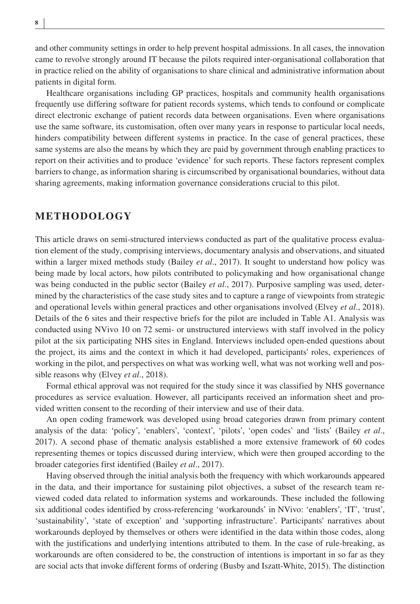and other community settings in order to help prevent hospital admissions. In all cases, the innovation came to revolve strongly around IT because the pilots required inter-organisational collaboration that in practice relied on the ability of organisations to share clinical and administrative information about patients in digital form.

Healthcare organisations including GP practices, hospitals and community health organisations frequently use differing software for patient records systems, which tends to confound or complicate direct electronic exchange of patient records data between organisations. Even where organisations use the same software, its customisation, often over many years in response to particular local needs, hinders compatibility between different systems in practice. In the case of general practices, these same systems are also the means by which they are paid by government through enabling practices to report on their activities and to produce 'evidence' for such reports. These factors represent complex barriers to change, as information sharing is circumscribed by organisational boundaries, without data sharing agreements, making information governance considerations crucial to this pilot.

#### **METHODOLOGY**

This article draws on semi-structured interviews conducted as part of the qualitative process evaluation element of the study, comprising interviews, documentary analysis and observations, and situated within a larger mixed methods study (Bailey *et al*., 2017). It sought to understand how policy was being made by local actors, how pilots contributed to policymaking and how organisational change was being conducted in the public sector (Bailey *et al*., 2017). Purposive sampling was used, determined by the characteristics of the case study sites and to capture a range of viewpoints from strategic and operational levels within general practices and other organisations involved (Elvey *et al*., 2018). Details of the 6 sites and their respective briefs for the pilot are included in Table A1. Analysis was conducted using NVivo 10 on 72 semi- or unstructured interviews with staff involved in the policy pilot at the six participating NHS sites in England. Interviews included open-ended questions about the project, its aims and the context in which it had developed, participants' roles, experiences of working in the pilot, and perspectives on what was working well, what was not working well and possible reasons why (Elvey *et al*., 2018).

Formal ethical approval was not required for the study since it was classified by NHS governance procedures as service evaluation. However, all participants received an information sheet and provided written consent to the recording of their interview and use of their data.

An open coding framework was developed using broad categories drawn from primary content analysis of the data: 'policy', 'enablers', 'context', 'pilots', 'open codes' and 'lists' (Bailey *et al*., 2017). A second phase of thematic analysis established a more extensive framework of 60 codes representing themes or topics discussed during interview, which were then grouped according to the broader categories first identified (Bailey *et al*., 2017).

Having observed through the initial analysis both the frequency with which workarounds appeared in the data, and their importance for sustaining pilot objectives, a subset of the research team reviewed coded data related to information systems and workarounds. These included the following six additional codes identified by cross-referencing 'workarounds' in NVivo: 'enablers', 'IT', 'trust', 'sustainability', 'state of exception' and 'supporting infrastructure'. Participants' narratives about workarounds deployed by themselves or others were identified in the data within those codes, along with the justifications and underlying intentions attributed to them. In the case of rule-breaking, as workarounds are often considered to be, the construction of intentions is important in so far as they are social acts that invoke different forms of ordering (Busby and Iszatt-White, 2015). The distinction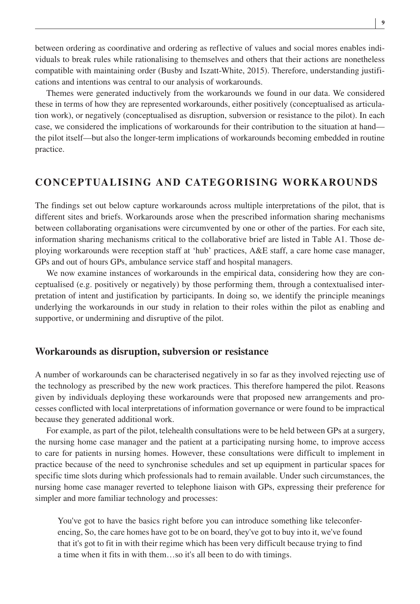between ordering as coordinative and ordering as reflective of values and social mores enables individuals to break rules while rationalising to themselves and others that their actions are nonetheless compatible with maintaining order (Busby and Iszatt-White, 2015). Therefore, understanding justifications and intentions was central to our analysis of workarounds.

Themes were generated inductively from the workarounds we found in our data. We considered these in terms of how they are represented workarounds, either positively (conceptualised as articulation work), or negatively (conceptualised as disruption, subversion or resistance to the pilot). In each case, we considered the implications of workarounds for their contribution to the situation at hand the pilot itself—but also the longer-term implications of workarounds becoming embedded in routine practice.

# **CONCEPTUALISING AND CATEGORISING WORKAROUNDS**

The findings set out below capture workarounds across multiple interpretations of the pilot, that is different sites and briefs. Workarounds arose when the prescribed information sharing mechanisms between collaborating organisations were circumvented by one or other of the parties. For each site, information sharing mechanisms critical to the collaborative brief are listed in Table A1. Those deploying workarounds were reception staff at 'hub' practices, A&E staff, a care home case manager, GPs and out of hours GPs, ambulance service staff and hospital managers.

We now examine instances of workarounds in the empirical data, considering how they are conceptualised (e.g. positively or negatively) by those performing them, through a contextualised interpretation of intent and justification by participants. In doing so, we identify the principle meanings underlying the workarounds in our study in relation to their roles within the pilot as enabling and supportive, or undermining and disruptive of the pilot.

#### **Workarounds as disruption, subversion or resistance**

A number of workarounds can be characterised negatively in so far as they involved rejecting use of the technology as prescribed by the new work practices. This therefore hampered the pilot. Reasons given by individuals deploying these workarounds were that proposed new arrangements and processes conflicted with local interpretations of information governance or were found to be impractical because they generated additional work.

For example, as part of the pilot, telehealth consultations were to be held between GPs at a surgery, the nursing home case manager and the patient at a participating nursing home, to improve access to care for patients in nursing homes. However, these consultations were difficult to implement in practice because of the need to synchronise schedules and set up equipment in particular spaces for specific time slots during which professionals had to remain available. Under such circumstances, the nursing home case manager reverted to telephone liaison with GPs, expressing their preference for simpler and more familiar technology and processes:

You've got to have the basics right before you can introduce something like teleconferencing, So, the care homes have got to be on board, they've got to buy into it, we've found that it's got to fit in with their regime which has been very difficult because trying to find a time when it fits in with them…so it's all been to do with timings.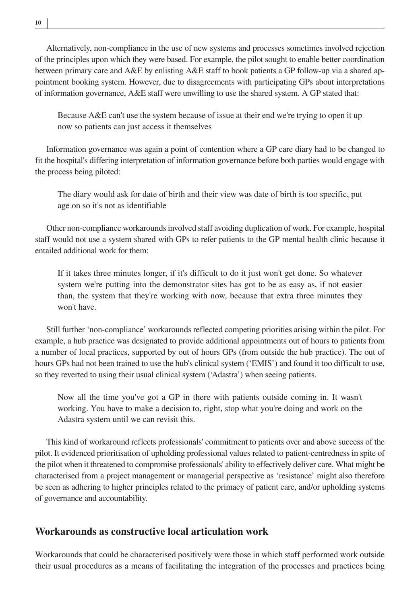Alternatively, non-compliance in the use of new systems and processes sometimes involved rejection of the principles upon which they were based. For example, the pilot sought to enable better coordination between primary care and A&E by enlisting A&E staff to book patients a GP follow-up via a shared appointment booking system. However, due to disagreements with participating GPs about interpretations of information governance, A&E staff were unwilling to use the shared system. A GP stated that:

Because A&E can't use the system because of issue at their end we're trying to open it up now so patients can just access it themselves

Information governance was again a point of contention where a GP care diary had to be changed to fit the hospital's differing interpretation of information governance before both parties would engage with the process being piloted:

The diary would ask for date of birth and their view was date of birth is too specific, put age on so it's not as identifiable

Other non-compliance workarounds involved staff avoiding duplication of work. For example, hospital staff would not use a system shared with GPs to refer patients to the GP mental health clinic because it entailed additional work for them:

If it takes three minutes longer, if it's difficult to do it just won't get done. So whatever system we're putting into the demonstrator sites has got to be as easy as, if not easier than, the system that they're working with now, because that extra three minutes they won't have.

Still further 'non-compliance' workarounds reflected competing priorities arising within the pilot. For example, a hub practice was designated to provide additional appointments out of hours to patients from a number of local practices, supported by out of hours GPs (from outside the hub practice). The out of hours GPs had not been trained to use the hub's clinical system ('EMIS') and found it too difficult to use, so they reverted to using their usual clinical system ('Adastra') when seeing patients.

Now all the time you've got a GP in there with patients outside coming in. It wasn't working. You have to make a decision to, right, stop what you're doing and work on the Adastra system until we can revisit this.

This kind of workaround reflects professionals' commitment to patients over and above success of the pilot. It evidenced prioritisation of upholding professional values related to patient-centredness in spite of the pilot when it threatened to compromise professionals' ability to effectively deliver care. What might be characterised from a project management or managerial perspective as 'resistance' might also therefore be seen as adhering to higher principles related to the primacy of patient care, and/or upholding systems of governance and accountability.

## **Workarounds as constructive local articulation work**

Workarounds that could be characterised positively were those in which staff performed work outside their usual procedures as a means of facilitating the integration of the processes and practices being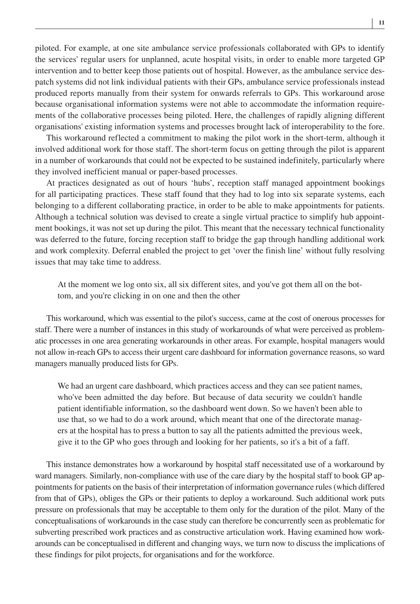piloted. For example, at one site ambulance service professionals collaborated with GPs to identify the services' regular users for unplanned, acute hospital visits, in order to enable more targeted GP intervention and to better keep those patients out of hospital. However, as the ambulance service despatch systems did not link individual patients with their GPs, ambulance service professionals instead produced reports manually from their system for onwards referrals to GPs. This workaround arose because organisational information systems were not able to accommodate the information requirements of the collaborative processes being piloted. Here, the challenges of rapidly aligning different organisations' existing information systems and processes brought lack of interoperability to the fore.

This workaround reflected a commitment to making the pilot work in the short-term, although it involved additional work for those staff. The short-term focus on getting through the pilot is apparent in a number of workarounds that could not be expected to be sustained indefinitely, particularly where they involved inefficient manual or paper-based processes.

At practices designated as out of hours 'hubs', reception staff managed appointment bookings for all participating practices. These staff found that they had to log into six separate systems, each belonging to a different collaborating practice, in order to be able to make appointments for patients. Although a technical solution was devised to create a single virtual practice to simplify hub appointment bookings, it was not set up during the pilot. This meant that the necessary technical functionality was deferred to the future, forcing reception staff to bridge the gap through handling additional work and work complexity. Deferral enabled the project to get 'over the finish line' without fully resolving issues that may take time to address.

At the moment we log onto six, all six different sites, and you've got them all on the bottom, and you're clicking in on one and then the other

This workaround, which was essential to the pilot's success, came at the cost of onerous processes for staff. There were a number of instances in this study of workarounds of what were perceived as problematic processes in one area generating workarounds in other areas. For example, hospital managers would not allow in-reach GPs to access their urgent care dashboard for information governance reasons, so ward managers manually produced lists for GPs.

We had an urgent care dashboard, which practices access and they can see patient names, who've been admitted the day before. But because of data security we couldn't handle patient identifiable information, so the dashboard went down. So we haven't been able to use that, so we had to do a work around, which meant that one of the directorate managers at the hospital has to press a button to say all the patients admitted the previous week, give it to the GP who goes through and looking for her patients, so it's a bit of a faff.

This instance demonstrates how a workaround by hospital staff necessitated use of a workaround by ward managers. Similarly, non-compliance with use of the care diary by the hospital staff to book GP appointments for patients on the basis of their interpretation of information governance rules (which differed from that of GPs), obliges the GPs or their patients to deploy a workaround. Such additional work puts pressure on professionals that may be acceptable to them only for the duration of the pilot. Many of the conceptualisations of workarounds in the case study can therefore be concurrently seen as problematic for subverting prescribed work practices and as constructive articulation work. Having examined how workarounds can be conceptualised in different and changing ways, we turn now to discuss the implications of these findings for pilot projects, for organisations and for the workforce.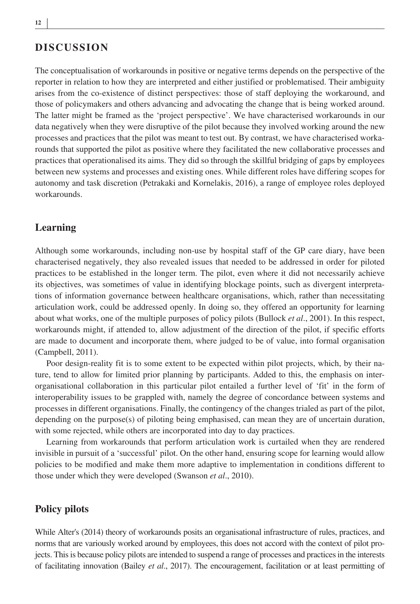# **DISCUSSION**

The conceptualisation of workarounds in positive or negative terms depends on the perspective of the reporter in relation to how they are interpreted and either justified or problematised. Their ambiguity arises from the co-existence of distinct perspectives: those of staff deploying the workaround, and those of policymakers and others advancing and advocating the change that is being worked around. The latter might be framed as the 'project perspective'. We have characterised workarounds in our data negatively when they were disruptive of the pilot because they involved working around the new processes and practices that the pilot was meant to test out. By contrast, we have characterised workarounds that supported the pilot as positive where they facilitated the new collaborative processes and practices that operationalised its aims. They did so through the skillful bridging of gaps by employees between new systems and processes and existing ones. While different roles have differing scopes for autonomy and task discretion (Petrakaki and Kornelakis, 2016), a range of employee roles deployed workarounds.

#### **Learning**

Although some workarounds, including non-use by hospital staff of the GP care diary, have been characterised negatively, they also revealed issues that needed to be addressed in order for piloted practices to be established in the longer term. The pilot, even where it did not necessarily achieve its objectives, was sometimes of value in identifying blockage points, such as divergent interpretations of information governance between healthcare organisations, which, rather than necessitating articulation work, could be addressed openly. In doing so, they offered an opportunity for learning about what works, one of the multiple purposes of policy pilots (Bullock *et al*., 2001). In this respect, workarounds might, if attended to, allow adjustment of the direction of the pilot, if specific efforts are made to document and incorporate them, where judged to be of value, into formal organisation (Campbell, 2011).

Poor design-reality fit is to some extent to be expected within pilot projects, which, by their nature, tend to allow for limited prior planning by participants. Added to this, the emphasis on interorganisational collaboration in this particular pilot entailed a further level of 'fit' in the form of interoperability issues to be grappled with, namely the degree of concordance between systems and processes in different organisations. Finally, the contingency of the changes trialed as part of the pilot, depending on the purpose(s) of piloting being emphasised, can mean they are of uncertain duration, with some rejected, while others are incorporated into day to day practices.

Learning from workarounds that perform articulation work is curtailed when they are rendered invisible in pursuit of a 'successful' pilot. On the other hand, ensuring scope for learning would allow policies to be modified and make them more adaptive to implementation in conditions different to those under which they were developed (Swanson *et al*., 2010).

## **Policy pilots**

While Alter's (2014) theory of workarounds posits an organisational infrastructure of rules, practices, and norms that are variously worked around by employees, this does not accord with the context of pilot projects. This is because policy pilots are intended to suspend a range of processes and practices in the interests of facilitating innovation (Bailey *et al*., 2017). The encouragement, facilitation or at least permitting of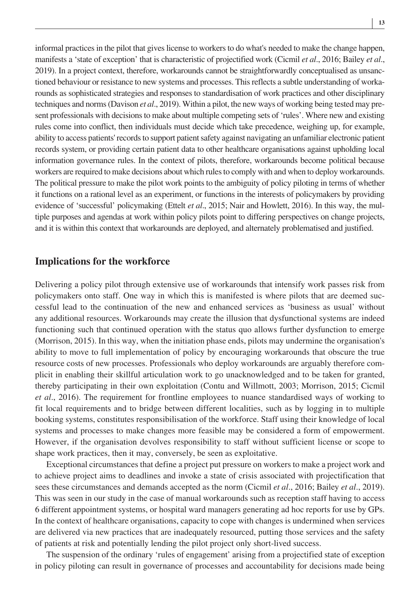informal practices in the pilot that gives license to workers to do what's needed to make the change happen, manifests a 'state of exception' that is characteristic of projectified work (Cicmil *et al*., 2016; Bailey *et al*., 2019). In a project context, therefore, workarounds cannot be straightforwardly conceptualised as unsanctioned behaviour or resistance to new systems and processes. This reflects a subtle understanding of workarounds as sophisticated strategies and responses to standardisation of work practices and other disciplinary techniques and norms (Davison *et al*., 2019). Within a pilot, the new ways of working being tested may present professionals with decisions to make about multiple competing sets of 'rules'. Where new and existing rules come into conflict, then individuals must decide which take precedence, weighing up, for example, ability to access patients' records to support patient safety against navigating an unfamiliar electronic patient records system, or providing certain patient data to other healthcare organisations against upholding local information governance rules. In the context of pilots, therefore, workarounds become political because workers are required to make decisions about which rules to comply with and when to deploy workarounds. The political pressure to make the pilot work points to the ambiguity of policy piloting in terms of whether it functions on a rational level as an experiment, or functions in the interests of policymakers by providing evidence of 'successful' policymaking (Ettelt *et al*., 2015; Nair and Howlett, 2016). In this way, the multiple purposes and agendas at work within policy pilots point to differing perspectives on change projects, and it is within this context that workarounds are deployed, and alternately problematised and justified.

#### **Implications for the workforce**

Delivering a policy pilot through extensive use of workarounds that intensify work passes risk from policymakers onto staff. One way in which this is manifested is where pilots that are deemed successful lead to the continuation of the new and enhanced services as 'business as usual' without any additional resources. Workarounds may create the illusion that dysfunctional systems are indeed functioning such that continued operation with the status quo allows further dysfunction to emerge (Morrison, 2015). In this way, when the initiation phase ends, pilots may undermine the organisation's ability to move to full implementation of policy by encouraging workarounds that obscure the true resource costs of new processes. Professionals who deploy workarounds are arguably therefore complicit in enabling their skillful articulation work to go unacknowledged and to be taken for granted, thereby participating in their own exploitation (Contu and Willmott, 2003; Morrison, 2015; Cicmil *et al*., 2016). The requirement for frontline employees to nuance standardised ways of working to fit local requirements and to bridge between different localities, such as by logging in to multiple booking systems, constitutes responsibilisation of the workforce. Staff using their knowledge of local systems and processes to make changes more feasible may be considered a form of empowerment. However, if the organisation devolves responsibility to staff without sufficient license or scope to shape work practices, then it may, conversely, be seen as exploitative.

Exceptional circumstances that define a project put pressure on workers to make a project work and to achieve project aims to deadlines and invoke a state of crisis associated with projectification that sees these circumstances and demands accepted as the norm (Cicmil *et al*., 2016; Bailey *et al*., 2019). This was seen in our study in the case of manual workarounds such as reception staff having to access 6 different appointment systems, or hospital ward managers generating ad hoc reports for use by GPs. In the context of healthcare organisations, capacity to cope with changes is undermined when services are delivered via new practices that are inadequately resourced, putting those services and the safety of patients at risk and potentially lending the pilot project only short-lived success.

The suspension of the ordinary 'rules of engagement' arising from a projectified state of exception in policy piloting can result in governance of processes and accountability for decisions made being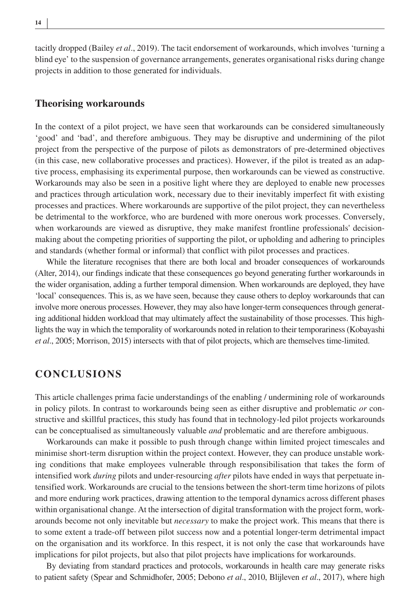tacitly dropped (Bailey *et al*., 2019). The tacit endorsement of workarounds, which involves 'turning a blind eye' to the suspension of governance arrangements, generates organisational risks during change projects in addition to those generated for individuals.

#### **Theorising workarounds**

In the context of a pilot project, we have seen that workarounds can be considered simultaneously 'good' and 'bad', and therefore ambiguous. They may be disruptive and undermining of the pilot project from the perspective of the purpose of pilots as demonstrators of pre-determined objectives (in this case, new collaborative processes and practices). However, if the pilot is treated as an adaptive process, emphasising its experimental purpose, then workarounds can be viewed as constructive. Workarounds may also be seen in a positive light where they are deployed to enable new processes and practices through articulation work, necessary due to their inevitably imperfect fit with existing processes and practices. Where workarounds are supportive of the pilot project, they can nevertheless be detrimental to the workforce, who are burdened with more onerous work processes. Conversely, when workarounds are viewed as disruptive, they make manifest frontline professionals' decisionmaking about the competing priorities of supporting the pilot, or upholding and adhering to principles and standards (whether formal or informal) that conflict with pilot processes and practices.

While the literature recognises that there are both local and broader consequences of workarounds (Alter, 2014), our findings indicate that these consequences go beyond generating further workarounds in the wider organisation, adding a further temporal dimension. When workarounds are deployed, they have 'local' consequences. This is, as we have seen, because they cause others to deploy workarounds that can involve more onerous processes. However, they may also have longer-term consequences through generating additional hidden workload that may ultimately affect the sustainability of those processes. This highlights the way in which the temporality of workarounds noted in relation to their temporariness (Kobayashi *et al*., 2005; Morrison, 2015) intersects with that of pilot projects, which are themselves time-limited.

# **CONCLUSIONS**

This article challenges prima facie understandings of the enabling / undermining role of workarounds in policy pilots. In contrast to workarounds being seen as either disruptive and problematic *or* constructive and skillful practices, this study has found that in technology-led pilot projects workarounds can be conceptualised as simultaneously valuable *and* problematic and are therefore ambiguous.

Workarounds can make it possible to push through change within limited project timescales and minimise short-term disruption within the project context. However, they can produce unstable working conditions that make employees vulnerable through responsibilisation that takes the form of intensified work *during* pilots and under-resourcing *after* pilots have ended in ways that perpetuate intensified work. Workarounds are crucial to the tensions between the short-term time horizons of pilots and more enduring work practices, drawing attention to the temporal dynamics across different phases within organisational change. At the intersection of digital transformation with the project form, workarounds become not only inevitable but *necessary* to make the project work. This means that there is to some extent a trade-off between pilot success now and a potential longer-term detrimental impact on the organisation and its workforce. In this respect, it is not only the case that workarounds have implications for pilot projects, but also that pilot projects have implications for workarounds.

By deviating from standard practices and protocols, workarounds in health care may generate risks to patient safety (Spear and Schmidhofer, 2005; Debono *et al*., 2010, Blijleven *et al*., 2017), where high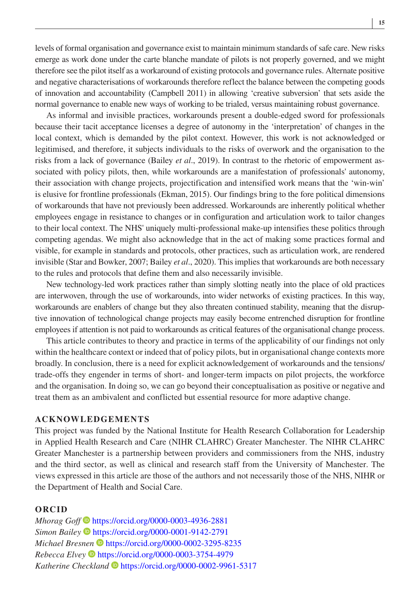levels of formal organisation and governance exist to maintain minimum standards of safe care. New risks emerge as work done under the carte blanche mandate of pilots is not properly governed, and we might therefore see the pilot itself as a workaround of existing protocols and governance rules. Alternate positive and negative characterisations of workarounds therefore reflect the balance between the competing goods of innovation and accountability (Campbell 2011) in allowing 'creative subversion' that sets aside the normal governance to enable new ways of working to be trialed, versus maintaining robust governance.

As informal and invisible practices, workarounds present a double-edged sword for professionals because their tacit acceptance licenses a degree of autonomy in the 'interpretation' of changes in the local context, which is demanded by the pilot context. However, this work is not acknowledged or legitimised, and therefore, it subjects individuals to the risks of overwork and the organisation to the risks from a lack of governance (Bailey *et al*., 2019). In contrast to the rhetoric of empowerment associated with policy pilots, then, while workarounds are a manifestation of professionals' autonomy, their association with change projects, projectification and intensified work means that the 'win-win' is elusive for frontline professionals (Ekman, 2015). Our findings bring to the fore political dimensions of workarounds that have not previously been addressed. Workarounds are inherently political whether employees engage in resistance to changes or in configuration and articulation work to tailor changes to their local context. The NHS' uniquely multi-professional make-up intensifies these politics through competing agendas. We might also acknowledge that in the act of making some practices formal and visible, for example in standards and protocols, other practices, such as articulation work, are rendered invisible (Star and Bowker, 2007; Bailey *et al*., 2020). This implies that workarounds are both necessary to the rules and protocols that define them and also necessarily invisible.

New technology-led work practices rather than simply slotting neatly into the place of old practices are interwoven, through the use of workarounds, into wider networks of existing practices. In this way, workarounds are enablers of change but they also threaten continued stability, meaning that the disruptive innovation of technological change projects may easily become entrenched disruption for frontline employees if attention is not paid to workarounds as critical features of the organisational change process.

This article contributes to theory and practice in terms of the applicability of our findings not only within the healthcare context or indeed that of policy pilots, but in organisational change contexts more broadly. In conclusion, there is a need for explicit acknowledgement of workarounds and the tensions/ trade-offs they engender in terms of short- and longer-term impacts on pilot projects, the workforce and the organisation. In doing so, we can go beyond their conceptualisation as positive or negative and treat them as an ambivalent and conflicted but essential resource for more adaptive change.

#### **ACKNOWLEDGEMENTS**

This project was funded by the National Institute for Health Research Collaboration for Leadership in Applied Health Research and Care (NIHR CLAHRC) Greater Manchester. The NIHR CLAHRC Greater Manchester is a partnership between providers and commissioners from the NHS, industry and the third sector, as well as clinical and research staff from the University of Manchester. The views expressed in this article are those of the authors and not necessarily those of the NHS, NIHR or the Department of Health and Social Care.

#### **ORCID**

*Mhorag Goff* <https://orcid.org/0000-0003-4936-2881> *Simon Bailey* <https://orcid.org/0000-0001-9142-2791> *Michael Bresnen* D<https://orcid.org/0000-0002-3295-8235> *Rebecca Elvey* <https://orcid.org/0000-0003-3754-4979> *Katherine Checkland* <https://orcid.org/0000-0002-9961-5317>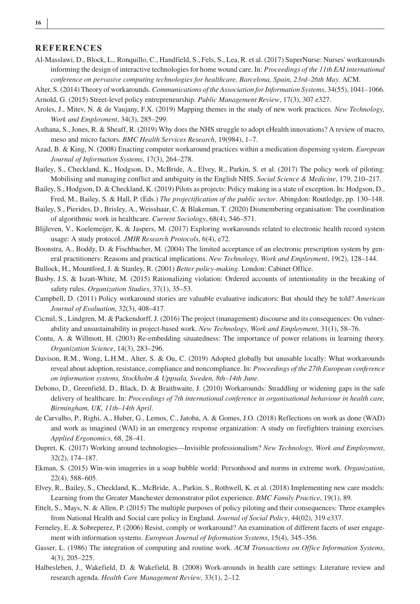#### **REFERENCES**

- Al-Masslawi, D., Block, L., Ronquillo, C., Handfield, S., Fels, S., Lea, R. et al. (2017) SuperNurse: Nurses' workarounds informing the design of interactive technologies for home wound care. In: *Proceedings of the 11th EAI international conference on pervasive computing technologies for healthcare, Barcelona, Spain, 23rd–26th May*. ACM.
- Alter, S. (2014) Theory of workarounds. *Communications of the Association for Information Systems*, 34(55), 1041–1066.
- Arnold, G. (2015) Street-level policy entrepreneurship. *Public Management Review*, 17(3), 307 e327.
- Aroles, J., Mitev, N. & de Vaujany, F.X. (2019) Mapping themes in the study of new work practices. *New Technology, Work and Employment*, 34(3), 285–299.
- Asthana, S., Jones, R. & Sheaff, R. (2019) Why does the NHS struggle to adopt eHealth innovations? A review of macro, meso and micro factors. *BMC Health Services Research*, 19(984), 1–7.
- Azad, B. & King, N. (2008) Enacting computer workaround practices within a medication dispensing system. *European Journal of Information Systems*, 17(3), 264–278.
- Bailey, S., Checkland, K., Hodgson, D., McBride, A., Elvey, R., Parkin, S. et al. (2017) The policy work of piloting: Mobilising and managing conflict and ambiguity in the English NHS. *Social Science & Medicine*, 179, 210–217.
- Bailey, S., Hodgson, D. & Checkland, K. (2019) Pilots as projects: Policy making in a state of exception. In: Hodgson, D., Fred, M., Bailey, S. & Hall, P. (Eds.) *The projectification of the public sector*. Abingdon: Routledge, pp. 130–148.
- Bailey, S., Pierides, D., Brisley, A., Weisshaar, C. & Blakeman, T. (2020) Dismembering organisation: The coordination of algorithmic work in healthcare. *Current Sociology*, 68(4), 546–571.
- Blijleven, V., Koelemeijer, K. & Jaspers, M. (2017) Exploring workarounds related to electronic health record system usage: A study protocol. *JMIR Research Protocols*, 6(4), e72.
- Boonstra, A., Boddy, D. & Fischbacher, M. (2004) The limited acceptance of an electronic prescription system by general practitioners: Reasons and practical implications. *New Technology, Work and Employment*, 19(2), 128–144.
- Bullock, H., Mountford, J. & Stanley, R. (2001) *Better policy-making*. London: Cabinet Office.
- Busby, J.S. & Iszatt-White, M. (2015) Rationalizing violation: Ordered accounts of intentionality in the breaking of safety rules. *Organization Studies*, 37(1), 35–53.
- Campbell, D. (2011) Policy workaround stories are valuable evaluative indicators: But should they be told? *American Journal of Evaluation*, 32(3), 408–417.
- Cicmil, S., Lindgren, M. & Packendorff, J. (2016) The project (management) discourse and its consequences: On vulnerability and unsustainability in project-based work. *New Technology, Work and Employment*, 31(1), 58–76.
- Contu, A. & Willmott, H. (2003) Re-embedding situatedness: The importance of power relations in learning theory. *Organization Science*, 14(3), 283–296.
- Davison, R.M., Wong, L.H.M., Alter, S. & Ou, C. (2019) Adopted globally but unusable locally: What workarounds reveal about adoption, resistance, compliance and noncompliance. In: *Proceedings of the 27th European conference on information systems, Stockholm & Uppsala, Sweden, 8th–14th June*.
- Debono, D., Greenfield, D., Black, D. & Braithwaite, J. (2010) Workarounds: Straddling or widening gaps in the safe delivery of healthcare. In: *Proceedings of 7th international conference in organisational behaviour in health care, Birmingham, UK, 11th–14th April*.
- de Carvalho, P., Righi, A., Huber, G., Lemos, C., Jatoba, A. & Gomes, J.O. (2018) Reflections on work as done (WAD) and work as imagined (WAI) in an emergency response organization: A study on firefighters training exercises. *Applied Ergonomics*, 68, 28–41.
- Dupret, K. (2017) Working around technologies—Invisible professionalism? *New Technology, Work and Employment*, 32(2), 174–187.
- Ekman, S. (2015) Win-win imageries in a soap bubble world: Personhood and norms in extreme work. *Organization*, 22(4), 588–605.
- Elvey, R., Bailey, S., Checkland, K., McBride, A., Parkin, S., Rothwell, K. et al. (2018) Implementing new care models: Learning from the Greater Manchester demonstrator pilot experience. *BMC Family Practice*, 19(1), 89.
- Ettelt, S., Mays, N. & Allen, P. (2015) The multiple purposes of policy piloting and their consequences: Three examples from National Health and Social care policy in England. *Journal of Social Policy*, 44(02), 319 e337.
- Ferneley, E. & Sobreperez, P. (2006) Resist, comply or workaround? An examination of different facets of user engagement with information systems. *European Journal of Information Systems*, 15(4), 345–356.
- Gasser, L. (1986) The integration of computing and routine work. *ACM Transactions on Office Information Systems*, 4(3), 205–225.
- Halbesleben, J., Wakefield, D. & Wakefield, B. (2008) Work-arounds in health care settings: Literature review and research agenda. *Health Care Management Review*, 33(1), 2–12.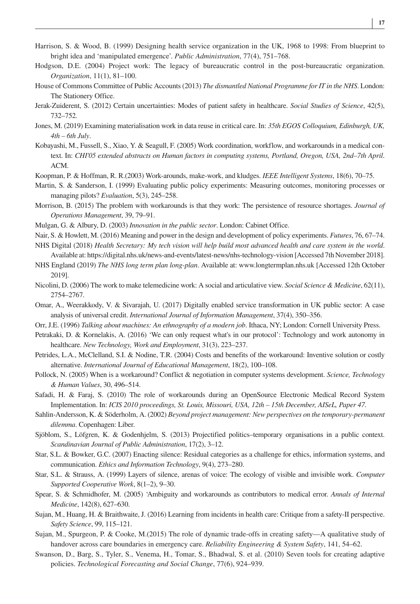- Harrison, S. & Wood, B. (1999) Designing health service organization in the UK, 1968 to 1998: From blueprint to bright idea and 'manipulated emergence'. *Public Administration*, 77(4), 751–768.
- Hodgson, D.E. (2004) Project work: The legacy of bureaucratic control in the post-bureaucratic organization. *Organization*, 11(1), 81–100.
- House of Commons Committee of Public Accounts (2013) *The dismantled National Programme for IT in the NHS*. London: The Stationery Office.
- Jerak-Zuiderent, S. (2012) Certain uncertainties: Modes of patient safety in healthcare. *Social Studies of Science*, 42(5), 732–752.
- Jones, M. (2019) Examining materialisation work in data reuse in critical care. In: *35th EGOS Colloquium, Edinburgh, UK, 4th – 6th July*.
- Kobayashi, M., Fussell, S., Xiao, Y. & Seagull, F. (2005) Work coordination, workflow, and workarounds in a medical context. In: *CHI'05 extended abstracts on Human factors in computing systems, Portland, Oregon, USA, 2nd–7th April*. ACM.
- Koopman, P. & Hoffman, R. R.(2003) Work-arounds, make-work, and kludges. *IEEE Intelligent Systems*, 18(6), 70–75.
- Martin, S. & Sanderson, I. (1999) Evaluating public policy experiments: Measuring outcomes, monitoring processes or managing pilots? *Evaluation*, 5(3), 245–258.
- Morrison, B. (2015) The problem with workarounds is that they work: The persistence of resource shortages. *Journal of Operations Management*, 39, 79–91.
- Mulgan, G. & Albury, D. (2003) *Innovation in the public sector*. London: Cabinet Office.
- Nair, S. & Howlett, M. (2016) Meaning and power in the design and development of policy experiments. *Futures*, 76, 67–74. NHS Digital (2018) *Health Secretary: My tech vision will help build most advanced health and care system in the world*.
- Available at:<https://digital.nhs.uk/news-and-events/latest-news/nhs-technology-vision>[Accessed 7th November 2018].
- NHS England (2019) *The NHS long term plan long-plan*. Available at: [www.longtermplan.nhs.uk](http://www.longtermplan.nhs.uk) [Accessed 12th October 2019].
- Nicolini, D. (2006) The work to make telemedicine work: A social and articulative view. *Social Science & Medicine*, 62(11), 2754–2767.
- Omar, A., Weerakkody, V. & Sivarajah, U. (2017) Digitally enabled service transformation in UK public sector: A case analysis of universal credit. *International Journal of Information Management*, 37(4), 350–356.
- Orr, J.E. (1996) *Talking about machines: An ethnography of a modern job*. Ithaca, NY; London: Cornell University Press.
- Petrakaki, D. & Kornelakis, A. (2016) 'We can only request what's in our protocol': Technology and work autonomy in healthcare. *New Technology, Work and Employment*, 31(3), 223–237.
- Petrides, L.A., McClelland, S.I. & Nodine, T.R. (2004) Costs and benefits of the workaround: Inventive solution or costly alternative. *International Journal of Educational Management*, 18(2), 100–108.
- Pollock, N. (2005) When is a workaround? Conflict & negotiation in computer systems development. *Science, Technology & Human Values*, 30, 496–514.
- Safadi, H. & Faraj, S. (2010) The role of workarounds during an OpenSource Electronic Medical Record System Implementation. In: *ICIS 2010 proceedings, St. Louis, Missouri, USA, 12th – 15th December, AISeL, Paper 47*.
- Sahlin-Andersson, K. & Söderholm, A. (2002) *Beyond project management: New perspectives on the temporary-permanent dilemma*. Copenhagen: Liber.
- Sjöblom, S., Löfgren, K. & Godenhjelm, S. (2013) Projectified politics–temporary organisations in a public context. *Scandinavian Journal of Public Administration*, 17(2), 3–12.
- Star, S.L. & Bowker, G.C. (2007) Enacting silence: Residual categories as a challenge for ethics, information systems, and communication. *Ethics and Information Technology*, 9(4), 273–280.
- Star, S.L. & Strauss, A. (1999) Layers of silence, arenas of voice: The ecology of visible and invisible work. *Computer Supported Cooperative Work*, 8(1–2), 9–30.
- Spear, S. & Schmidhofer, M. (2005) 'Ambiguity and workarounds as contributors to medical error. *Annals of Internal Medicine*, 142(8), 627–630.
- Sujan, M., Huang, H. & Braithwaite, J. (2016) Learning from incidents in health care: Critique from a safety-II perspective. *Safety Science*, 99, 115–121.
- Sujan, M., Spurgeon, P. & Cooke, M.(2015) The role of dynamic trade-offs in creating safety—A qualitative study of handover across care boundaries in emergency care. *Reliability Engineering & System Safety*, 141, 54–62.
- Swanson, D., Barg, S., Tyler, S., Venema, H., Tomar, S., Bhadwal, S. et al. (2010) Seven tools for creating adaptive policies. *Technological Forecasting and Social Change*, 77(6), 924–939.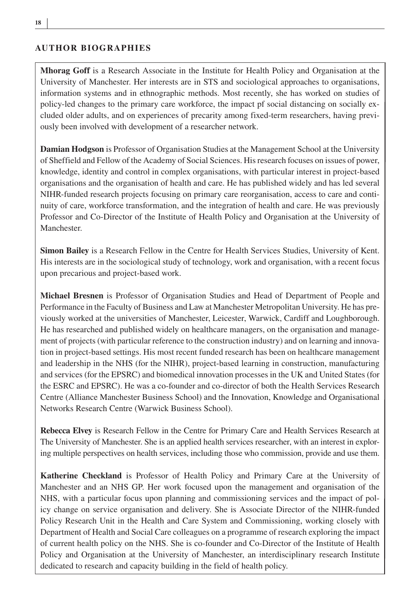#### **AUTHOR BIOGRAPHIES**

**Mhorag Goff** is a Research Associate in the Institute for Health Policy and Organisation at the University of Manchester. Her interests are in STS and sociological approaches to organisations, information systems and in ethnographic methods. Most recently, she has worked on studies of policy-led changes to the primary care workforce, the impact pf social distancing on socially excluded older adults, and on experiences of precarity among fixed-term researchers, having previously been involved with development of a researcher network.

**Damian Hodgson** is Professor of Organisation Studies at the Management School at the University of Sheffield and Fellow of the Academy of Social Sciences. His research focuses on issues of power, knowledge, identity and control in complex organisations, with particular interest in project-based organisations and the organisation of health and care. He has published widely and has led several NIHR-funded research projects focusing on primary care reorganisation, access to care and continuity of care, workforce transformation, and the integration of health and care. He was previously Professor and Co-Director of the Institute of Health Policy and Organisation at the University of Manchester.

**Simon Bailey** is a Research Fellow in the Centre for Health Services Studies, University of Kent. His interests are in the sociological study of technology, work and organisation, with a recent focus upon precarious and project-based work.

**Michael Bresnen** is Professor of Organisation Studies and Head of Department of People and Performance in the Faculty of Business and Law at Manchester Metropolitan University. He has previously worked at the universities of Manchester, Leicester, Warwick, Cardiff and Loughborough. He has researched and published widely on healthcare managers, on the organisation and management of projects (with particular reference to the construction industry) and on learning and innovation in project-based settings. His most recent funded research has been on healthcare management and leadership in the NHS (for the NIHR), project-based learning in construction, manufacturing and services (for the EPSRC) and biomedical innovation processes in the UK and United States (for the ESRC and EPSRC). He was a co-founder and co-director of both the Health Services Research Centre (Alliance Manchester Business School) and the Innovation, Knowledge and Organisational Networks Research Centre (Warwick Business School).

**Rebecca Elvey** is Research Fellow in the Centre for Primary Care and Health Services Research at The University of Manchester. She is an applied health services researcher, with an interest in exploring multiple perspectives on health services, including those who commission, provide and use them.

**Katherine Checkland** is Professor of Health Policy and Primary Care at the University of Manchester and an NHS GP. Her work focused upon the management and organisation of the NHS, with a particular focus upon planning and commissioning services and the impact of policy change on service organisation and delivery. She is Associate Director of the NIHR-funded Policy Research Unit in the Health and Care System and Commissioning, working closely with Department of Health and Social Care colleagues on a programme of research exploring the impact of current health policy on the NHS. She is co-founder and Co-Director of the Institute of Health Policy and Organisation at the University of Manchester, an interdisciplinary research Institute dedicated to research and capacity building in the field of health policy.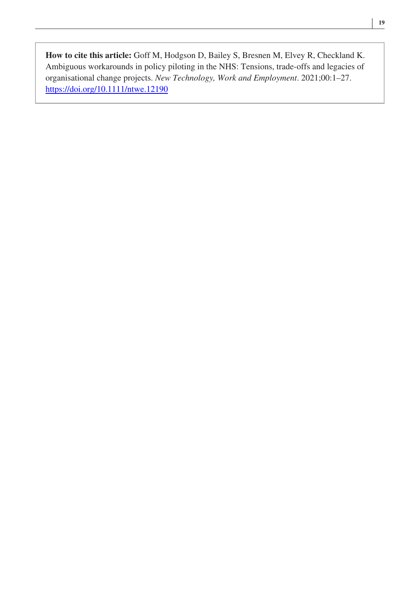**How to cite this article:** Goff M, Hodgson D, Bailey S, Bresnen M, Elvey R, Checkland K. Ambiguous workarounds in policy piloting in the NHS: Tensions, trade-offs and legacies of organisational change projects. *New Technology, Work and Employment*. 2021;00:1–27. <https://doi.org/10.1111/ntwe.12190>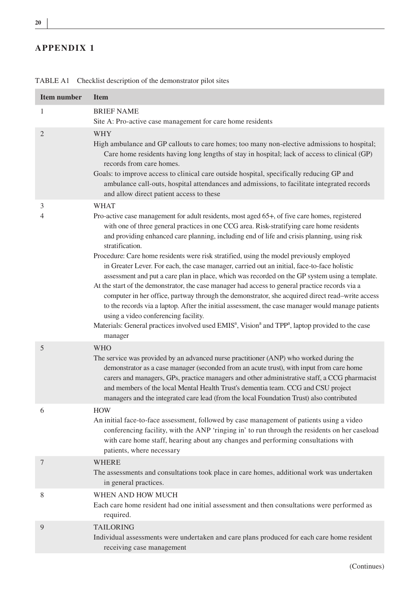# **APPENDIX 1**

| <b>Item number</b> | <b>Item</b>                                                                                                                                                                                                                                                                                                                                                                                                                                                                                                                                                                                                                                                                                                                                                                                                                                                                                                                                                                                                                                                                                                      |
|--------------------|------------------------------------------------------------------------------------------------------------------------------------------------------------------------------------------------------------------------------------------------------------------------------------------------------------------------------------------------------------------------------------------------------------------------------------------------------------------------------------------------------------------------------------------------------------------------------------------------------------------------------------------------------------------------------------------------------------------------------------------------------------------------------------------------------------------------------------------------------------------------------------------------------------------------------------------------------------------------------------------------------------------------------------------------------------------------------------------------------------------|
| 1                  | <b>BRIEF NAME</b><br>Site A: Pro-active case management for care home residents                                                                                                                                                                                                                                                                                                                                                                                                                                                                                                                                                                                                                                                                                                                                                                                                                                                                                                                                                                                                                                  |
| $\overline{2}$     | WHY<br>High ambulance and GP callouts to care homes; too many non-elective admissions to hospital;<br>Care home residents having long lengths of stay in hospital; lack of access to clinical (GP)<br>records from care homes.<br>Goals: to improve access to clinical care outside hospital, specifically reducing GP and<br>ambulance call-outs, hospital attendances and admissions, to facilitate integrated records<br>and allow direct patient access to these                                                                                                                                                                                                                                                                                                                                                                                                                                                                                                                                                                                                                                             |
| 3                  | <b>WHAT</b>                                                                                                                                                                                                                                                                                                                                                                                                                                                                                                                                                                                                                                                                                                                                                                                                                                                                                                                                                                                                                                                                                                      |
| 4                  | Pro-active case management for adult residents, most aged 65+, of five care homes, registered<br>with one of three general practices in one CCG area. Risk-stratifying care home residents<br>and providing enhanced care planning, including end of life and crisis planning, using risk<br>stratification.<br>Procedure: Care home residents were risk stratified, using the model previously employed<br>in Greater Lever. For each, the case manager, carried out an initial, face-to-face holistic<br>assessment and put a care plan in place, which was recorded on the GP system using a template.<br>At the start of the demonstrator, the case manager had access to general practice records via a<br>computer in her office, partway through the demonstrator, she acquired direct read-write access<br>to the records via a laptop. After the initial assessment, the case manager would manage patients<br>using a video conferencing facility.<br>Materials: General practices involved used EMIS <sup>a</sup> , Vision <sup>a</sup> and TPP <sup>a</sup> , laptop provided to the case<br>manager |
| 5                  | <b>WHO</b><br>The service was provided by an advanced nurse practitioner (ANP) who worked during the<br>demonstrator as a case manager (seconded from an acute trust), with input from care home<br>carers and managers, GPs, practice managers and other administrative staff, a CCG pharmacist<br>and members of the local Mental Health Trust's dementia team. CCG and CSU project<br>managers and the integrated care lead (from the local Foundation Trust) also contributed                                                                                                                                                                                                                                                                                                                                                                                                                                                                                                                                                                                                                                |
| 6                  | <b>HOW</b><br>An initial face-to-face assessment, followed by case management of patients using a video<br>conferencing facility, with the ANP 'ringing in' to run through the residents on her caseload<br>with care home staff, hearing about any changes and performing consultations with<br>patients, where necessary                                                                                                                                                                                                                                                                                                                                                                                                                                                                                                                                                                                                                                                                                                                                                                                       |
| 7                  | <b>WHERE</b><br>The assessments and consultations took place in care homes, additional work was undertaken<br>in general practices.                                                                                                                                                                                                                                                                                                                                                                                                                                                                                                                                                                                                                                                                                                                                                                                                                                                                                                                                                                              |
| 8                  | WHEN AND HOW MUCH<br>Each care home resident had one initial assessment and then consultations were performed as<br>required.                                                                                                                                                                                                                                                                                                                                                                                                                                                                                                                                                                                                                                                                                                                                                                                                                                                                                                                                                                                    |
| 9                  | <b>TAILORING</b><br>Individual assessments were undertaken and care plans produced for each care home resident<br>receiving case management                                                                                                                                                                                                                                                                                                                                                                                                                                                                                                                                                                                                                                                                                                                                                                                                                                                                                                                                                                      |

TABLE A1 Checklist description of the demonstrator pilot sites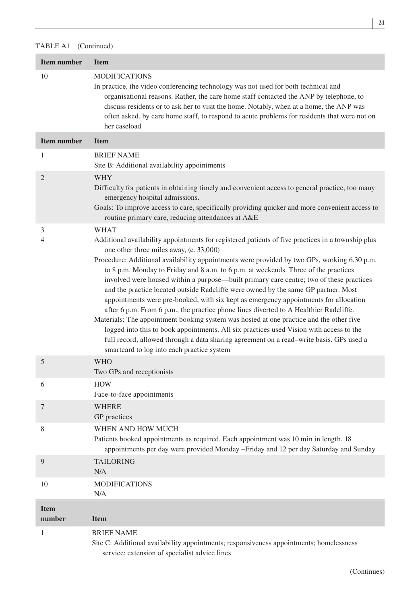| <b>Item number</b> | <b>Item</b>                                                                                                                                                                                                                                                                                                                                                                                                                                                                                                                                                                                                                                                                                                                                                                                                                                                                                                                                                                                                                                 |
|--------------------|---------------------------------------------------------------------------------------------------------------------------------------------------------------------------------------------------------------------------------------------------------------------------------------------------------------------------------------------------------------------------------------------------------------------------------------------------------------------------------------------------------------------------------------------------------------------------------------------------------------------------------------------------------------------------------------------------------------------------------------------------------------------------------------------------------------------------------------------------------------------------------------------------------------------------------------------------------------------------------------------------------------------------------------------|
| 10                 | <b>MODIFICATIONS</b><br>In practice, the video conferencing technology was not used for both technical and<br>organisational reasons. Rather, the care home staff contacted the ANP by telephone, to<br>discuss residents or to ask her to visit the home. Notably, when at a home, the ANP was<br>often asked, by care home staff, to respond to acute problems for residents that were not on<br>her caseload                                                                                                                                                                                                                                                                                                                                                                                                                                                                                                                                                                                                                             |
| <b>Item number</b> | <b>Item</b>                                                                                                                                                                                                                                                                                                                                                                                                                                                                                                                                                                                                                                                                                                                                                                                                                                                                                                                                                                                                                                 |
| 1                  | <b>BRIEF NAME</b><br>Site B: Additional availability appointments                                                                                                                                                                                                                                                                                                                                                                                                                                                                                                                                                                                                                                                                                                                                                                                                                                                                                                                                                                           |
| 2                  | WHY<br>Difficulty for patients in obtaining timely and convenient access to general practice; too many<br>emergency hospital admissions.<br>Goals: To improve access to care, specifically providing quicker and more convenient access to<br>routine primary care, reducing attendances at A&E                                                                                                                                                                                                                                                                                                                                                                                                                                                                                                                                                                                                                                                                                                                                             |
| 3<br>4             | WHAT<br>Additional availability appointments for registered patients of five practices in a township plus<br>one other three miles away, (c. 33,000)<br>Procedure: Additional availability appointments were provided by two GPs, working 6.30 p.m.<br>to 8 p.m. Monday to Friday and 8 a.m. to 6 p.m. at weekends. Three of the practices<br>involved were housed within a purpose—built primary care centre; two of these practices<br>and the practice located outside Radcliffe were owned by the same GP partner. Most<br>appointments were pre-booked, with six kept as emergency appointments for allocation<br>after 6 p.m. From 6 p.m., the practice phone lines diverted to A Healthier Radcliffe.<br>Materials: The appointment booking system was hosted at one practice and the other five<br>logged into this to book appointments. All six practices used Vision with access to the<br>full record, allowed through a data sharing agreement on a read-write basis. GPs used a<br>smartcard to log into each practice system |
| 5                  | <b>WHO</b><br>Two GPs and receptionists                                                                                                                                                                                                                                                                                                                                                                                                                                                                                                                                                                                                                                                                                                                                                                                                                                                                                                                                                                                                     |
| 6                  | <b>HOW</b><br>Face-to-face appointments                                                                                                                                                                                                                                                                                                                                                                                                                                                                                                                                                                                                                                                                                                                                                                                                                                                                                                                                                                                                     |
| 7                  | <b>WHERE</b><br>GP practices                                                                                                                                                                                                                                                                                                                                                                                                                                                                                                                                                                                                                                                                                                                                                                                                                                                                                                                                                                                                                |
| 8                  | WHEN AND HOW MUCH<br>Patients booked appointments as required. Each appointment was 10 min in length, 18<br>appointments per day were provided Monday -Friday and 12 per day Saturday and Sunday                                                                                                                                                                                                                                                                                                                                                                                                                                                                                                                                                                                                                                                                                                                                                                                                                                            |
| 9                  | <b>TAILORING</b><br>N/A                                                                                                                                                                                                                                                                                                                                                                                                                                                                                                                                                                                                                                                                                                                                                                                                                                                                                                                                                                                                                     |
| 10                 | <b>MODIFICATIONS</b><br>N/A                                                                                                                                                                                                                                                                                                                                                                                                                                                                                                                                                                                                                                                                                                                                                                                                                                                                                                                                                                                                                 |
| <b>Item</b>        |                                                                                                                                                                                                                                                                                                                                                                                                                                                                                                                                                                                                                                                                                                                                                                                                                                                                                                                                                                                                                                             |
| number             | <b>Item</b>                                                                                                                                                                                                                                                                                                                                                                                                                                                                                                                                                                                                                                                                                                                                                                                                                                                                                                                                                                                                                                 |
| 1                  | <b>BRIEF NAME</b><br>Site C: Additional availability appointments; responsiveness appointments; homelessness                                                                                                                                                                                                                                                                                                                                                                                                                                                                                                                                                                                                                                                                                                                                                                                                                                                                                                                                |

service; extension of specialist advice lines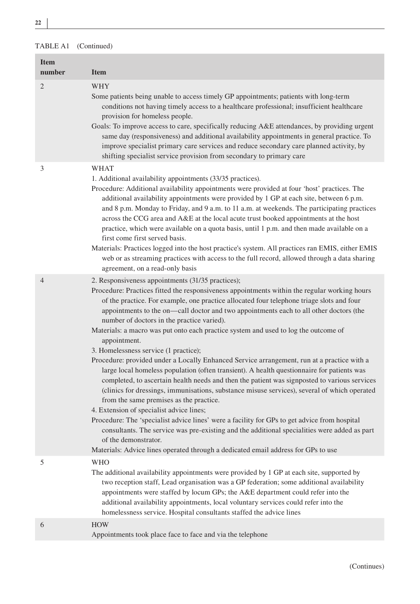**<sup>22</sup> <sup>|</sup>**

| <b>Item</b><br>number | <b>Item</b>                                                                                                                                                                                                                                                                                                                                                                                                                                                                                                                                                                                                                                                                                                                                                                                                                                                                                                                                                                                                                                                                                                                                                                                                                                                                                                                            |
|-----------------------|----------------------------------------------------------------------------------------------------------------------------------------------------------------------------------------------------------------------------------------------------------------------------------------------------------------------------------------------------------------------------------------------------------------------------------------------------------------------------------------------------------------------------------------------------------------------------------------------------------------------------------------------------------------------------------------------------------------------------------------------------------------------------------------------------------------------------------------------------------------------------------------------------------------------------------------------------------------------------------------------------------------------------------------------------------------------------------------------------------------------------------------------------------------------------------------------------------------------------------------------------------------------------------------------------------------------------------------|
| 2                     | <b>WHY</b><br>Some patients being unable to access timely GP appointments; patients with long-term<br>conditions not having timely access to a healthcare professional; insufficient healthcare<br>provision for homeless people.<br>Goals: To improve access to care, specifically reducing A&E attendances, by providing urgent<br>same day (responsiveness) and additional availability appointments in general practice. To<br>improve specialist primary care services and reduce secondary care planned activity, by<br>shifting specialist service provision from secondary to primary care                                                                                                                                                                                                                                                                                                                                                                                                                                                                                                                                                                                                                                                                                                                                     |
| 3                     | WHAT<br>1. Additional availability appointments (33/35 practices).<br>Procedure: Additional availability appointments were provided at four 'host' practices. The<br>additional availability appointments were provided by 1 GP at each site, between 6 p.m.<br>and 8 p.m. Monday to Friday, and 9 a.m. to 11 a.m. at weekends. The participating practices<br>across the CCG area and A&E at the local acute trust booked appointments at the host<br>practice, which were available on a quota basis, until 1 p.m. and then made available on a<br>first come first served basis.<br>Materials: Practices logged into the host practice's system. All practices ran EMIS, either EMIS<br>web or as streaming practices with access to the full record, allowed through a data sharing<br>agreement, on a read-only basis                                                                                                                                                                                                                                                                                                                                                                                                                                                                                                             |
| $\overline{4}$        | 2. Responsiveness appointments (31/35 practices);<br>Procedure: Practices fitted the responsiveness appointments within the regular working hours<br>of the practice. For example, one practice allocated four telephone triage slots and four<br>appointments to the on—call doctor and two appointments each to all other doctors (the<br>number of doctors in the practice varied).<br>Materials: a macro was put onto each practice system and used to log the outcome of<br>appointment.<br>3. Homelessness service (1 practice);<br>Procedure: provided under a Locally Enhanced Service arrangement, run at a practice with a<br>large local homeless population (often transient). A health questionnaire for patients was<br>completed, to ascertain health needs and then the patient was signposted to various services<br>(clinics for dressings, immunisations, substance misuse services), several of which operated<br>from the same premises as the practice.<br>4. Extension of specialist advice lines;<br>Procedure: The 'specialist advice lines' were a facility for GPs to get advice from hospital<br>consultants. The service was pre-existing and the additional specialities were added as part<br>of the demonstrator.<br>Materials: Advice lines operated through a dedicated email address for GPs to use |
| 5                     | <b>WHO</b><br>The additional availability appointments were provided by 1 GP at each site, supported by<br>two reception staff, Lead organisation was a GP federation; some additional availability<br>appointments were staffed by locum GPs; the A&E department could refer into the<br>additional availability appointments, local voluntary services could refer into the<br>homelessness service. Hospital consultants staffed the advice lines                                                                                                                                                                                                                                                                                                                                                                                                                                                                                                                                                                                                                                                                                                                                                                                                                                                                                   |
| 6                     | <b>HOW</b><br>Appointments took place face to face and via the telephone                                                                                                                                                                                                                                                                                                                                                                                                                                                                                                                                                                                                                                                                                                                                                                                                                                                                                                                                                                                                                                                                                                                                                                                                                                                               |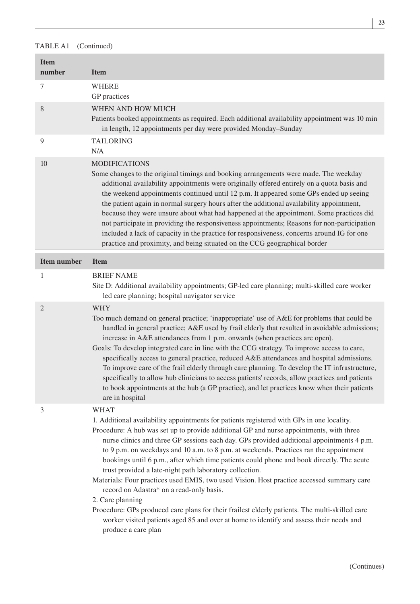| <b>Item</b><br>number | <b>Item</b>                                                                                                                                                                                                                                                                                                                                                                                                                                                                                                                                                                                                                                                                                                                                                                                                                                                                                           |
|-----------------------|-------------------------------------------------------------------------------------------------------------------------------------------------------------------------------------------------------------------------------------------------------------------------------------------------------------------------------------------------------------------------------------------------------------------------------------------------------------------------------------------------------------------------------------------------------------------------------------------------------------------------------------------------------------------------------------------------------------------------------------------------------------------------------------------------------------------------------------------------------------------------------------------------------|
| 7                     | WHERE<br>GP practices                                                                                                                                                                                                                                                                                                                                                                                                                                                                                                                                                                                                                                                                                                                                                                                                                                                                                 |
| 8                     | WHEN AND HOW MUCH<br>Patients booked appointments as required. Each additional availability appointment was 10 min<br>in length, 12 appointments per day were provided Monday–Sunday                                                                                                                                                                                                                                                                                                                                                                                                                                                                                                                                                                                                                                                                                                                  |
| 9                     | <b>TAILORING</b><br>N/A                                                                                                                                                                                                                                                                                                                                                                                                                                                                                                                                                                                                                                                                                                                                                                                                                                                                               |
| 10                    | <b>MODIFICATIONS</b><br>Some changes to the original timings and booking arrangements were made. The weekday<br>additional availability appointments were originally offered entirely on a quota basis and<br>the weekend appointments continued until 12 p.m. It appeared some GPs ended up seeing<br>the patient again in normal surgery hours after the additional availability appointment,<br>because they were unsure about what had happened at the appointment. Some practices did<br>not participate in providing the responsiveness appointments; Reasons for non-participation<br>included a lack of capacity in the practice for responsiveness, concerns around IG for one<br>practice and proximity, and being situated on the CCG geographical border                                                                                                                                  |
| <b>Item number</b>    | <b>Item</b>                                                                                                                                                                                                                                                                                                                                                                                                                                                                                                                                                                                                                                                                                                                                                                                                                                                                                           |
| 1                     | <b>BRIEF NAME</b><br>Site D: Additional availability appointments; GP-led care planning; multi-skilled care worker<br>led care planning; hospital navigator service                                                                                                                                                                                                                                                                                                                                                                                                                                                                                                                                                                                                                                                                                                                                   |
| 2                     | WHY<br>Too much demand on general practice; 'inappropriate' use of A&E for problems that could be<br>handled in general practice; A&E used by frail elderly that resulted in avoidable admissions;<br>increase in A&E attendances from 1 p.m. onwards (when practices are open).<br>Goals: To develop integrated care in line with the CCG strategy. To improve access to care,<br>specifically access to general practice, reduced A&E attendances and hospital admissions.<br>To improve care of the frail elderly through care planning. To develop the IT infrastructure,<br>specifically to allow hub clinicians to access patients' records, allow practices and patients<br>to book appointments at the hub (a GP practice), and let practices know when their patients<br>are in hospital                                                                                                     |
| 3                     | WHAT<br>1. Additional availability appointments for patients registered with GPs in one locality.<br>Procedure: A hub was set up to provide additional GP and nurse appointments, with three<br>nurse clinics and three GP sessions each day. GPs provided additional appointments 4 p.m.<br>to 9 p.m. on weekdays and 10 a.m. to 8 p.m. at weekends. Practices ran the appointment<br>bookings until 6 p.m., after which time patients could phone and book directly. The acute<br>trust provided a late-night path laboratory collection.<br>Materials: Four practices used EMIS, two used Vision. Host practice accessed summary care<br>record on Adastra* on a read-only basis.<br>2. Care planning<br>Procedure: GPs produced care plans for their frailest elderly patients. The multi-skilled care<br>worker visited patients aged 85 and over at home to identify and assess their needs and |

produce a care plan

 **| <sup>23</sup>**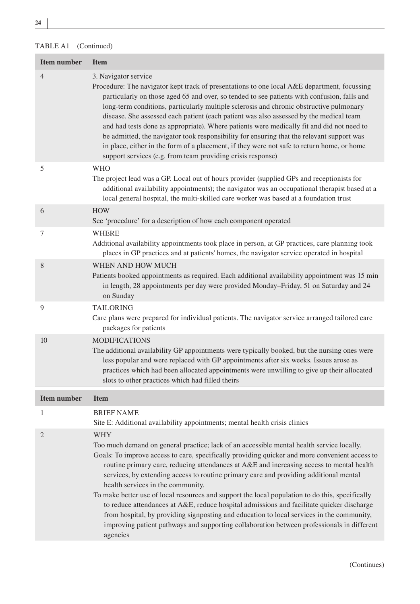| <b>Item number</b> | <b>Item</b>                                                                                                                                                                                                                                                                                                                                                                                                                                                                                                                                                                                                                                                                                                                                                                                                                         |
|--------------------|-------------------------------------------------------------------------------------------------------------------------------------------------------------------------------------------------------------------------------------------------------------------------------------------------------------------------------------------------------------------------------------------------------------------------------------------------------------------------------------------------------------------------------------------------------------------------------------------------------------------------------------------------------------------------------------------------------------------------------------------------------------------------------------------------------------------------------------|
| $\overline{4}$     | 3. Navigator service<br>Procedure: The navigator kept track of presentations to one local A&E department, focussing<br>particularly on those aged 65 and over, so tended to see patients with confusion, falls and<br>long-term conditions, particularly multiple sclerosis and chronic obstructive pulmonary<br>disease. She assessed each patient (each patient was also assessed by the medical team<br>and had tests done as appropriate). Where patients were medically fit and did not need to<br>be admitted, the navigator took responsibility for ensuring that the relevant support was<br>in place, either in the form of a placement, if they were not safe to return home, or home<br>support services (e.g. from team providing crisis response)                                                                      |
| 5                  | <b>WHO</b><br>The project lead was a GP. Local out of hours provider (supplied GPs and receptionists for<br>additional availability appointments); the navigator was an occupational therapist based at a<br>local general hospital, the multi-skilled care worker was based at a foundation trust                                                                                                                                                                                                                                                                                                                                                                                                                                                                                                                                  |
| 6                  | <b>HOW</b><br>See 'procedure' for a description of how each component operated                                                                                                                                                                                                                                                                                                                                                                                                                                                                                                                                                                                                                                                                                                                                                      |
| 7                  | WHERE<br>Additional availability appointments took place in person, at GP practices, care planning took<br>places in GP practices and at patients' homes, the navigator service operated in hospital                                                                                                                                                                                                                                                                                                                                                                                                                                                                                                                                                                                                                                |
| 8                  | WHEN AND HOW MUCH<br>Patients booked appointments as required. Each additional availability appointment was 15 min<br>in length, 28 appointments per day were provided Monday-Friday, 51 on Saturday and 24<br>on Sunday                                                                                                                                                                                                                                                                                                                                                                                                                                                                                                                                                                                                            |
| 9                  | <b>TAILORING</b><br>Care plans were prepared for individual patients. The navigator service arranged tailored care<br>packages for patients                                                                                                                                                                                                                                                                                                                                                                                                                                                                                                                                                                                                                                                                                         |
| 10                 | <b>MODIFICATIONS</b><br>The additional availability GP appointments were typically booked, but the nursing ones were<br>less popular and were replaced with GP appointments after six weeks. Issues arose as<br>practices which had been allocated appointments were unwilling to give up their allocated<br>slots to other practices which had filled theirs                                                                                                                                                                                                                                                                                                                                                                                                                                                                       |
| <b>Item number</b> | <b>Item</b>                                                                                                                                                                                                                                                                                                                                                                                                                                                                                                                                                                                                                                                                                                                                                                                                                         |
| 1                  | <b>BRIEF NAME</b><br>Site E: Additional availability appointments; mental health crisis clinics                                                                                                                                                                                                                                                                                                                                                                                                                                                                                                                                                                                                                                                                                                                                     |
| $\overline{2}$     | WHY<br>Too much demand on general practice; lack of an accessible mental health service locally.<br>Goals: To improve access to care, specifically providing quicker and more convenient access to<br>routine primary care, reducing attendances at A&E and increasing access to mental health<br>services, by extending access to routine primary care and providing additional mental<br>health services in the community.<br>To make better use of local resources and support the local population to do this, specifically<br>to reduce attendances at A&E, reduce hospital admissions and facilitate quicker discharge<br>from hospital, by providing signposting and education to local services in the community,<br>improving patient pathways and supporting collaboration between professionals in different<br>agencies |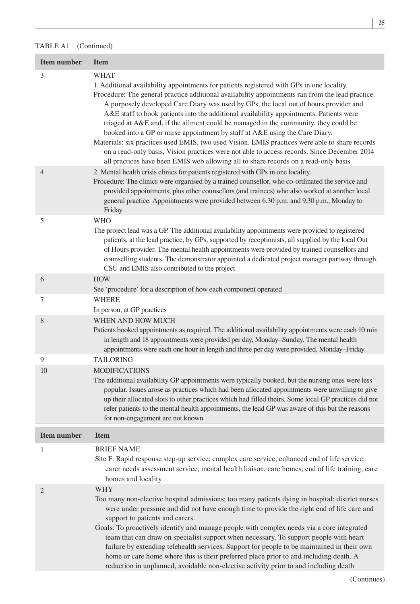| <b>Item number</b> | <b>Item</b>                                                                                                                                                                                                                                                                                                                                                                                                                                                                                                                                                                                                                                                                                                                                                                                                                                             |
|--------------------|---------------------------------------------------------------------------------------------------------------------------------------------------------------------------------------------------------------------------------------------------------------------------------------------------------------------------------------------------------------------------------------------------------------------------------------------------------------------------------------------------------------------------------------------------------------------------------------------------------------------------------------------------------------------------------------------------------------------------------------------------------------------------------------------------------------------------------------------------------|
| 3                  | WHAT<br>1. Additional availability appointments for patients registered with GPs in one locality.<br>Procedure: The general practice additional availability appointments ran from the lead practice.<br>A purposely developed Care Diary was used by GPs, the local out of hours provider and<br>A&E staff to book patients into the additional availability appointments. Patients were<br>triaged at A&E and, if the ailment could be managed in the community, they could be<br>booked into a GP or nurse appointment by staff at A&E using the Care Diary.<br>Materials: six practices used EMIS, two used Vision. EMIS practices were able to share records<br>on a read-only basis, Vision practices were not able to access records. Since December 2014<br>all practices have been EMIS web allowing all to share records on a read-only basis |
| $\overline{4}$     | 2. Mental health crisis clinics for patients registered with GPs in one locality.<br>Procedure: The clinics were organised by a trained counsellor, who co-ordinated the service and<br>provided appointments, plus other counsellors (and trainees) who also worked at another local<br>general practice. Appointments were provided between 6.30 p.m. and 9.30 p.m., Monday to<br>Friday                                                                                                                                                                                                                                                                                                                                                                                                                                                              |
| 5                  | <b>WHO</b><br>The project lead was a GP. The additional availability appointments were provided to registered<br>patients, at the lead practice, by GPs, supported by receptionists, all supplied by the local Out<br>of Hours provider. The mental health appointments were provided by trained counsellors and<br>counselling students. The demonstrator appointed a dedicated project manager partway through.<br>CSU and EMIS also contributed to the project                                                                                                                                                                                                                                                                                                                                                                                       |
| 6                  | <b>HOW</b>                                                                                                                                                                                                                                                                                                                                                                                                                                                                                                                                                                                                                                                                                                                                                                                                                                              |
| 7                  | See 'procedure' for a description of how each component operated<br><b>WHERE</b><br>In person, at GP practices                                                                                                                                                                                                                                                                                                                                                                                                                                                                                                                                                                                                                                                                                                                                          |
| 8                  | WHEN AND HOW MUCH<br>Patients booked appointments as required. The additional availability appointments were each 10 min<br>in length and 18 appointments were provided per day, Monday-Sunday. The mental health<br>appointments were each one hour in length and three per day were provided, Monday-Friday                                                                                                                                                                                                                                                                                                                                                                                                                                                                                                                                           |
| 9                  | <b>TAILORING</b>                                                                                                                                                                                                                                                                                                                                                                                                                                                                                                                                                                                                                                                                                                                                                                                                                                        |
| 10                 | <b>MODIFICATIONS</b><br>The additional availability GP appointments were typically booked, but the nursing ones were less<br>popular. Issues arose as practices which had been allocated appointments were unwilling to give<br>up their allocated slots to other practices which had filled theirs. Some local GP practices did not<br>refer patients to the mental health appointments, the lead GP was aware of this but the reasons<br>for non-engagement are not known                                                                                                                                                                                                                                                                                                                                                                             |
| <b>Item number</b> | <b>Item</b>                                                                                                                                                                                                                                                                                                                                                                                                                                                                                                                                                                                                                                                                                                                                                                                                                                             |
| 1                  | <b>BRIEF NAME</b><br>Site F: Rapid response step-up service; complex care service; enhanced end of life service;<br>carer needs assessment service; mental health liaison, care homes; end of life training, care<br>homes and locality                                                                                                                                                                                                                                                                                                                                                                                                                                                                                                                                                                                                                 |
| $\overline{2}$     | WHY<br>Too many non-elective hospital admissions; too many patients dying in hospital; district nurses<br>were under pressure and did not have enough time to provide the right end of life care and<br>support to patients and carers.<br>Goals: To proactively identify and manage people with complex needs via a core integrated<br>team that can draw on specialist support when necessary. To support people with heart<br>failure by extending telehealth services. Support for people to be maintained in their own<br>home or care home where this is their preferred place prior to and including death. A<br>reduction in unplanned, avoidable non-elective activity prior to and including death                                                                                                                                            |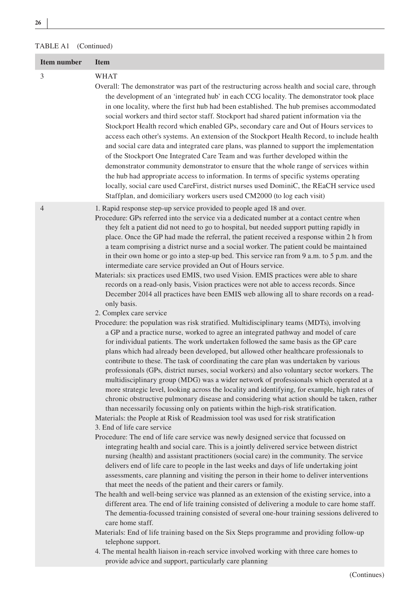| Item number | <b>Item</b>                                                                                                                                                                                                                                                                                                                                                                                                                                                                                                                                                                                                                                                                                                                                                                                                                                                                                                                                                                                                                                                                                                                                                                                                                                                                                                                                                                                                                                                                                                                                                                                                                                                                                                                                                                                                                                                                                                                                                                                                                                                                                                                                                                                                                                                                                                                                                                                                                                                                                                                                                                                                                                                                                                                                                                                                                                                                                                                                                                                                                                                                                                                                   |
|-------------|-----------------------------------------------------------------------------------------------------------------------------------------------------------------------------------------------------------------------------------------------------------------------------------------------------------------------------------------------------------------------------------------------------------------------------------------------------------------------------------------------------------------------------------------------------------------------------------------------------------------------------------------------------------------------------------------------------------------------------------------------------------------------------------------------------------------------------------------------------------------------------------------------------------------------------------------------------------------------------------------------------------------------------------------------------------------------------------------------------------------------------------------------------------------------------------------------------------------------------------------------------------------------------------------------------------------------------------------------------------------------------------------------------------------------------------------------------------------------------------------------------------------------------------------------------------------------------------------------------------------------------------------------------------------------------------------------------------------------------------------------------------------------------------------------------------------------------------------------------------------------------------------------------------------------------------------------------------------------------------------------------------------------------------------------------------------------------------------------------------------------------------------------------------------------------------------------------------------------------------------------------------------------------------------------------------------------------------------------------------------------------------------------------------------------------------------------------------------------------------------------------------------------------------------------------------------------------------------------------------------------------------------------------------------------------------------------------------------------------------------------------------------------------------------------------------------------------------------------------------------------------------------------------------------------------------------------------------------------------------------------------------------------------------------------------------------------------------------------------------------------------------------------|
| 3           | WHAT<br>Overall: The demonstrator was part of the restructuring across health and social care, through<br>the development of an 'integrated hub' in each CCG locality. The demonstrator took place<br>in one locality, where the first hub had been established. The hub premises accommodated<br>social workers and third sector staff. Stockport had shared patient information via the<br>Stockport Health record which enabled GPs, secondary care and Out of Hours services to<br>access each other's systems. An extension of the Stockport Health Record, to include health<br>and social care data and integrated care plans, was planned to support the implementation<br>of the Stockport One Integrated Care Team and was further developed within the<br>demonstrator community demonstrator to ensure that the whole range of services within<br>the hub had appropriate access to information. In terms of specific systems operating<br>locally, social care used CareFirst, district nurses used DominiC, the REaCH service used<br>Staffplan, and domiciliary workers users used CM2000 (to log each visit)                                                                                                                                                                                                                                                                                                                                                                                                                                                                                                                                                                                                                                                                                                                                                                                                                                                                                                                                                                                                                                                                                                                                                                                                                                                                                                                                                                                                                                                                                                                                                                                                                                                                                                                                                                                                                                                                                                                                                                                                                  |
| 4           | 1. Rapid response step-up service provided to people aged 18 and over.<br>Procedure: GPs referred into the service via a dedicated number at a contact centre when<br>they felt a patient did not need to go to hospital, but needed support putting rapidly in<br>place. Once the GP had made the referral, the patient received a response within 2 h from<br>a team comprising a district nurse and a social worker. The patient could be maintained<br>in their own home or go into a step-up bed. This service ran from 9 a.m. to 5 p.m. and the<br>intermediate care service provided an Out of Hours service.<br>Materials: six practices used EMIS, two used Vision. EMIS practices were able to share<br>records on a read-only basis, Vision practices were not able to access records. Since<br>December 2014 all practices have been EMIS web allowing all to share records on a read-<br>only basis.<br>2. Complex care service<br>Procedure: the population was risk stratified. Multidisciplinary teams (MDTs), involving<br>a GP and a practice nurse, worked to agree an integrated pathway and model of care<br>for individual patients. The work undertaken followed the same basis as the GP care<br>plans which had already been developed, but allowed other healthcare professionals to<br>contribute to these. The task of coordinating the care plan was undertaken by various<br>professionals (GPs, district nurses, social workers) and also voluntary sector workers. The<br>multidisciplinary group (MDG) was a wider network of professionals which operated at a<br>more strategic level, looking across the locality and identifying, for example, high rates of<br>chronic obstructive pulmonary disease and considering what action should be taken, rather<br>than necessarily focussing only on patients within the high-risk stratification.<br>Materials: the People at Risk of Readmission tool was used for risk stratification<br>3. End of life care service<br>Procedure: The end of life care service was newly designed service that focussed on<br>integrating health and social care. This is a jointly delivered service between district<br>nursing (health) and assistant practitioners (social care) in the community. The service<br>delivers end of life care to people in the last weeks and days of life undertaking joint<br>assessments, care planning and visiting the person in their home to deliver interventions<br>that meet the needs of the patient and their carers or family.<br>The health and well-being service was planned as an extension of the existing service, into a<br>different area. The end of life training consisted of delivering a module to care home staff.<br>The dementia-focussed training consisted of several one-hour training sessions delivered to<br>care home staff.<br>Materials: End of life training based on the Six Steps programme and providing follow-up<br>telephone support.<br>4. The mental health liaison in-reach service involved working with three care homes to<br>provide advice and support, particularly care planning |